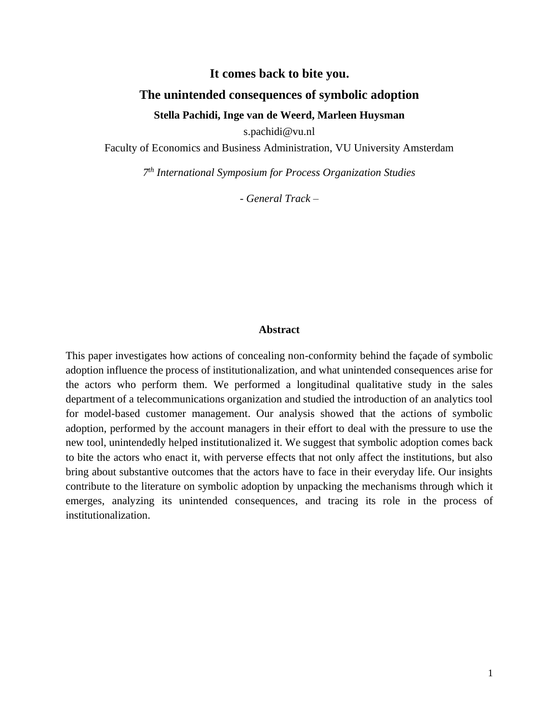## **It comes back to bite you.**

### **The unintended consequences of symbolic adoption**

### **Stella Pachidi, Inge van de Weerd, Marleen Huysman**

s.pachidi@vu.nl

Faculty of Economics and Business Administration, VU University Amsterdam

*7 th International Symposium for Process Organization Studies*

*- General Track –*

#### **Abstract**

This paper investigates how actions of concealing non-conformity behind the façade of symbolic adoption influence the process of institutionalization, and what unintended consequences arise for the actors who perform them. We performed a longitudinal qualitative study in the sales department of a telecommunications organization and studied the introduction of an analytics tool for model-based customer management. Our analysis showed that the actions of symbolic adoption, performed by the account managers in their effort to deal with the pressure to use the new tool, unintendedly helped institutionalized it. We suggest that symbolic adoption comes back to bite the actors who enact it, with perverse effects that not only affect the institutions, but also bring about substantive outcomes that the actors have to face in their everyday life. Our insights contribute to the literature on symbolic adoption by unpacking the mechanisms through which it emerges, analyzing its unintended consequences, and tracing its role in the process of institutionalization.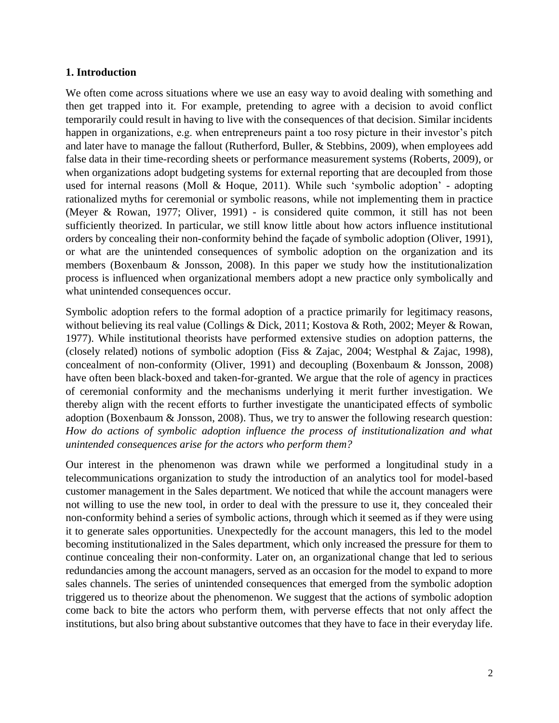## **1. Introduction**

We often come across situations where we use an easy way to avoid dealing with something and then get trapped into it. For example, pretending to agree with a decision to avoid conflict temporarily could result in having to live with the consequences of that decision. Similar incidents happen in organizations, e.g. when entrepreneurs paint a too rosy picture in their investor's pitch and later have to manage the fallout (Rutherford, Buller, & Stebbins, 2009), when employees add false data in their time-recording sheets or performance measurement systems (Roberts, 2009), or when organizations adopt budgeting systems for external reporting that are decoupled from those used for internal reasons (Moll & Hoque, 2011). While such 'symbolic adoption' - adopting rationalized myths for ceremonial or symbolic reasons, while not implementing them in practice (Meyer & Rowan, 1977; Oliver, 1991) - is considered quite common, it still has not been sufficiently theorized. In particular, we still know little about how actors influence institutional orders by concealing their non-conformity behind the façade of symbolic adoption (Oliver, 1991), or what are the unintended consequences of symbolic adoption on the organization and its members (Boxenbaum & Jonsson, 2008). In this paper we study how the institutionalization process is influenced when organizational members adopt a new practice only symbolically and what unintended consequences occur.

Symbolic adoption refers to the formal adoption of a practice primarily for legitimacy reasons, without believing its real value (Collings & Dick, 2011; Kostova & Roth, 2002; Meyer & Rowan, 1977). While institutional theorists have performed extensive studies on adoption patterns, the (closely related) notions of symbolic adoption (Fiss & Zajac, 2004; Westphal & Zajac, 1998), concealment of non-conformity (Oliver, 1991) and decoupling (Boxenbaum & Jonsson, 2008) have often been black-boxed and taken-for-granted. We argue that the role of agency in practices of ceremonial conformity and the mechanisms underlying it merit further investigation. We thereby align with the recent efforts to further investigate the unanticipated effects of symbolic adoption (Boxenbaum & Jonsson, 2008). Thus, we try to answer the following research question: *How do actions of symbolic adoption influence the process of institutionalization and what unintended consequences arise for the actors who perform them?*

Our interest in the phenomenon was drawn while we performed a longitudinal study in a telecommunications organization to study the introduction of an analytics tool for model-based customer management in the Sales department. We noticed that while the account managers were not willing to use the new tool, in order to deal with the pressure to use it, they concealed their non-conformity behind a series of symbolic actions, through which it seemed as if they were using it to generate sales opportunities. Unexpectedly for the account managers, this led to the model becoming institutionalized in the Sales department, which only increased the pressure for them to continue concealing their non-conformity. Later on, an organizational change that led to serious redundancies among the account managers, served as an occasion for the model to expand to more sales channels. The series of unintended consequences that emerged from the symbolic adoption triggered us to theorize about the phenomenon. We suggest that the actions of symbolic adoption come back to bite the actors who perform them, with perverse effects that not only affect the institutions, but also bring about substantive outcomes that they have to face in their everyday life.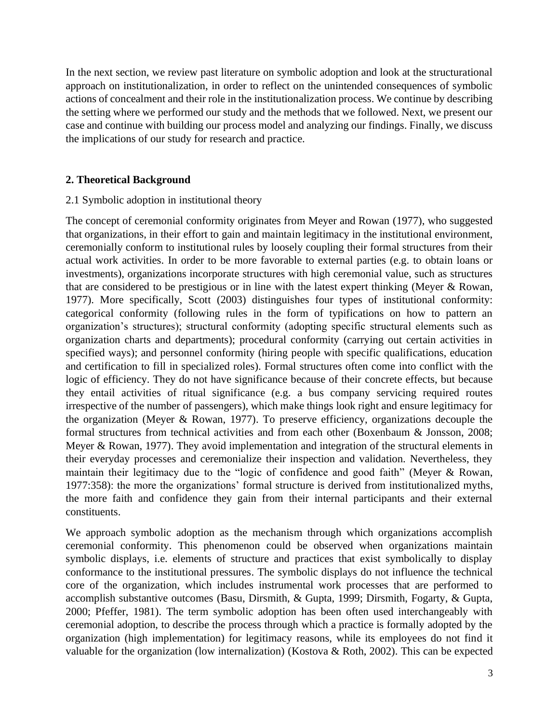In the next section, we review past literature on symbolic adoption and look at the structurational approach on institutionalization, in order to reflect on the unintended consequences of symbolic actions of concealment and their role in the institutionalization process. We continue by describing the setting where we performed our study and the methods that we followed. Next, we present our case and continue with building our process model and analyzing our findings. Finally, we discuss the implications of our study for research and practice.

# **2. Theoretical Background**

# 2.1 Symbolic adoption in institutional theory

The concept of ceremonial conformity originates from Meyer and Rowan (1977), who suggested that organizations, in their effort to gain and maintain legitimacy in the institutional environment, ceremonially conform to institutional rules by loosely coupling their formal structures from their actual work activities. In order to be more favorable to external parties (e.g. to obtain loans or investments), organizations incorporate structures with high ceremonial value, such as structures that are considered to be prestigious or in line with the latest expert thinking (Meyer & Rowan, 1977). More specifically, Scott (2003) distinguishes four types of institutional conformity: categorical conformity (following rules in the form of typifications on how to pattern an organization's structures); structural conformity (adopting specific structural elements such as organization charts and departments); procedural conformity (carrying out certain activities in specified ways); and personnel conformity (hiring people with specific qualifications, education and certification to fill in specialized roles). Formal structures often come into conflict with the logic of efficiency. They do not have significance because of their concrete effects, but because they entail activities of ritual significance (e.g. a bus company servicing required routes irrespective of the number of passengers), which make things look right and ensure legitimacy for the organization (Meyer & Rowan, 1977). To preserve efficiency, organizations decouple the formal structures from technical activities and from each other (Boxenbaum & Jonsson, 2008; Meyer & Rowan, 1977). They avoid implementation and integration of the structural elements in their everyday processes and ceremonialize their inspection and validation. Nevertheless, they maintain their legitimacy due to the "logic of confidence and good faith" (Meyer & Rowan, 1977:358): the more the organizations' formal structure is derived from institutionalized myths, the more faith and confidence they gain from their internal participants and their external constituents.

We approach symbolic adoption as the mechanism through which organizations accomplish ceremonial conformity. This phenomenon could be observed when organizations maintain symbolic displays, i.e. elements of structure and practices that exist symbolically to display conformance to the institutional pressures. The symbolic displays do not influence the technical core of the organization, which includes instrumental work processes that are performed to accomplish substantive outcomes (Basu, Dirsmith, & Gupta, 1999; Dirsmith, Fogarty, & Gupta, 2000; Pfeffer, 1981). The term symbolic adoption has been often used interchangeably with ceremonial adoption, to describe the process through which a practice is formally adopted by the organization (high implementation) for legitimacy reasons, while its employees do not find it valuable for the organization (low internalization) (Kostova & Roth, 2002). This can be expected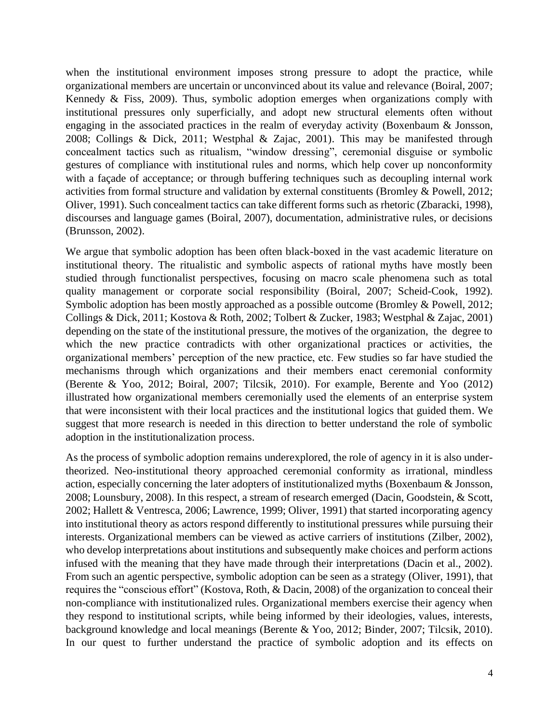when the institutional environment imposes strong pressure to adopt the practice, while organizational members are uncertain or unconvinced about its value and relevance (Boiral, 2007; Kennedy & Fiss, 2009). Thus, symbolic adoption emerges when organizations comply with institutional pressures only superficially, and adopt new structural elements often without engaging in the associated practices in the realm of everyday activity (Boxenbaum & Jonsson, 2008; Collings & Dick, 2011; Westphal & Zajac, 2001). This may be manifested through concealment tactics such as ritualism, "window dressing", ceremonial disguise or symbolic gestures of compliance with institutional rules and norms, which help cover up nonconformity with a façade of acceptance; or through buffering techniques such as decoupling internal work activities from formal structure and validation by external constituents (Bromley & Powell, 2012; Oliver, 1991). Such concealment tactics can take different forms such as rhetoric (Zbaracki, 1998), discourses and language games (Boiral, 2007), documentation, administrative rules, or decisions (Brunsson, 2002).

We argue that symbolic adoption has been often black-boxed in the vast academic literature on institutional theory. The ritualistic and symbolic aspects of rational myths have mostly been studied through functionalist perspectives, focusing on macro scale phenomena such as total quality management or corporate social responsibility (Boiral, 2007; Scheid-Cook, 1992). Symbolic adoption has been mostly approached as a possible outcome (Bromley & Powell, 2012; Collings & Dick, 2011; Kostova & Roth, 2002; Tolbert & Zucker, 1983; Westphal & Zajac, 2001) depending on the state of the institutional pressure, the motives of the organization, the degree to which the new practice contradicts with other organizational practices or activities, the organizational members' perception of the new practice, etc. Few studies so far have studied the mechanisms through which organizations and their members enact ceremonial conformity (Berente & Yoo, 2012; Boiral, 2007; Tilcsik, 2010). For example, Berente and Yoo (2012) illustrated how organizational members ceremonially used the elements of an enterprise system that were inconsistent with their local practices and the institutional logics that guided them. We suggest that more research is needed in this direction to better understand the role of symbolic adoption in the institutionalization process.

As the process of symbolic adoption remains underexplored, the role of agency in it is also undertheorized. Neo-institutional theory approached ceremonial conformity as irrational, mindless action, especially concerning the later adopters of institutionalized myths (Boxenbaum & Jonsson, 2008; Lounsbury, 2008). In this respect, a stream of research emerged (Dacin, Goodstein, & Scott, 2002; Hallett & Ventresca, 2006; Lawrence, 1999; Oliver, 1991) that started incorporating agency into institutional theory as actors respond differently to institutional pressures while pursuing their interests. Organizational members can be viewed as active carriers of institutions (Zilber, 2002), who develop interpretations about institutions and subsequently make choices and perform actions infused with the meaning that they have made through their interpretations (Dacin et al., 2002). From such an agentic perspective, symbolic adoption can be seen as a strategy (Oliver, 1991), that requires the "conscious effort" (Kostova, Roth, & Dacin, 2008) of the organization to conceal their non-compliance with institutionalized rules. Organizational members exercise their agency when they respond to institutional scripts, while being informed by their ideologies, values, interests, background knowledge and local meanings (Berente & Yoo, 2012; Binder, 2007; Tilcsik, 2010). In our quest to further understand the practice of symbolic adoption and its effects on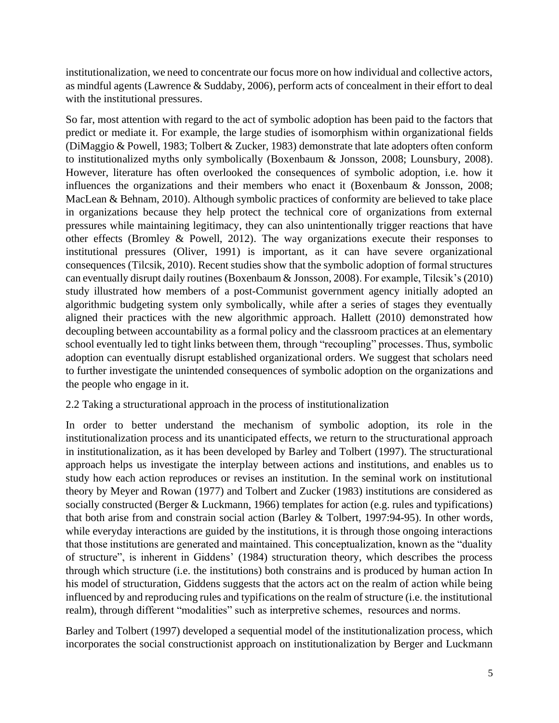institutionalization, we need to concentrate our focus more on how individual and collective actors, as mindful agents (Lawrence & Suddaby, 2006), perform acts of concealment in their effort to deal with the institutional pressures.

So far, most attention with regard to the act of symbolic adoption has been paid to the factors that predict or mediate it. For example, the large studies of isomorphism within organizational fields (DiMaggio & Powell, 1983; Tolbert & Zucker, 1983) demonstrate that late adopters often conform to institutionalized myths only symbolically (Boxenbaum & Jonsson, 2008; Lounsbury, 2008). However, literature has often overlooked the consequences of symbolic adoption, i.e. how it influences the organizations and their members who enact it (Boxenbaum & Jonsson, 2008; MacLean & Behnam, 2010). Although symbolic practices of conformity are believed to take place in organizations because they help protect the technical core of organizations from external pressures while maintaining legitimacy, they can also unintentionally trigger reactions that have other effects (Bromley & Powell, 2012). The way organizations execute their responses to institutional pressures (Oliver, 1991) is important, as it can have severe organizational consequences (Tilcsik, 2010). Recent studies show that the symbolic adoption of formal structures can eventually disrupt daily routines (Boxenbaum & Jonsson, 2008). For example, Tilcsik's (2010) study illustrated how members of a post-Communist government agency initially adopted an algorithmic budgeting system only symbolically, while after a series of stages they eventually aligned their practices with the new algorithmic approach. Hallett (2010) demonstrated how decoupling between accountability as a formal policy and the classroom practices at an elementary school eventually led to tight links between them, through "recoupling" processes. Thus, symbolic adoption can eventually disrupt established organizational orders. We suggest that scholars need to further investigate the unintended consequences of symbolic adoption on the organizations and the people who engage in it.

# 2.2 Taking a structurational approach in the process of institutionalization

In order to better understand the mechanism of symbolic adoption, its role in the institutionalization process and its unanticipated effects, we return to the structurational approach in institutionalization, as it has been developed by Barley and Tolbert (1997). The structurational approach helps us investigate the interplay between actions and institutions, and enables us to study how each action reproduces or revises an institution. In the seminal work on institutional theory by Meyer and Rowan (1977) and Tolbert and Zucker (1983) institutions are considered as socially constructed (Berger & Luckmann, 1966) templates for action (e.g. rules and typifications) that both arise from and constrain social action (Barley & Tolbert, 1997:94-95). In other words, while everyday interactions are guided by the institutions, it is through those ongoing interactions that those institutions are generated and maintained. This conceptualization, known as the "duality of structure", is inherent in Giddens' (1984) structuration theory, which describes the process through which structure (i.e. the institutions) both constrains and is produced by human action In his model of structuration, Giddens suggests that the actors act on the realm of action while being influenced by and reproducing rules and typifications on the realm of structure (i.e. the institutional realm), through different "modalities" such as interpretive schemes, resources and norms.

Barley and Tolbert (1997) developed a sequential model of the institutionalization process, which incorporates the social constructionist approach on institutionalization by Berger and Luckmann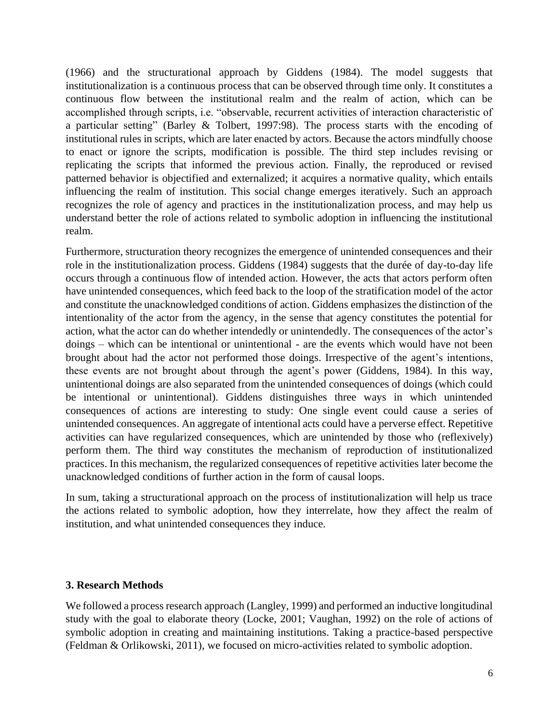(1966) and the structurational approach by Giddens (1984). The model suggests that institutionalization is a continuous process that can be observed through time only. It constitutes a continuous flow between the institutional realm and the realm of action, which can be accomplished through scripts, i.e. "observable, recurrent activities of interaction characteristic of a particular setting" (Barley & Tolbert, 1997:98). The process starts with the encoding of institutional rules in scripts, which are later enacted by actors. Because the actors mindfully choose to enact or ignore the scripts, modification is possible. The third step includes revising or replicating the scripts that informed the previous action. Finally, the reproduced or revised patterned behavior is objectified and externalized; it acquires a normative quality, which entails influencing the realm of institution. This social change emerges iteratively. Such an approach recognizes the role of agency and practices in the institutionalization process, and may help us understand better the role of actions related to symbolic adoption in influencing the institutional realm.

Furthermore, structuration theory recognizes the emergence of unintended consequences and their role in the institutionalization process. Giddens (1984) suggests that the durée of day-to-day life occurs through a continuous flow of intended action. However, the acts that actors perform often have unintended consequences, which feed back to the loop of the stratification model of the actor and constitute the unacknowledged conditions of action. Giddens emphasizes the distinction of the intentionality of the actor from the agency, in the sense that agency constitutes the potential for action, what the actor can do whether intendedly or unintendedly. The consequences of the actor's doings – which can be intentional or unintentional - are the events which would have not been brought about had the actor not performed those doings. Irrespective of the agent's intentions, these events are not brought about through the agent's power (Giddens, 1984). In this way, unintentional doings are also separated from the unintended consequences of doings (which could be intentional or unintentional). Giddens distinguishes three ways in which unintended consequences of actions are interesting to study: One single event could cause a series of unintended consequences. An aggregate of intentional acts could have a perverse effect. Repetitive activities can have regularized consequences, which are unintended by those who (reflexively) perform them. The third way constitutes the mechanism of reproduction of institutionalized practices. In this mechanism, the regularized consequences of repetitive activities later become the unacknowledged conditions of further action in the form of causal loops.

In sum, taking a structurational approach on the process of institutionalization will help us trace the actions related to symbolic adoption, how they interrelate, how they affect the realm of institution, and what unintended consequences they induce.

## **3. Research Methods**

We followed a process research approach (Langley, 1999) and performed an inductive longitudinal study with the goal to elaborate theory (Locke, 2001; Vaughan, 1992) on the role of actions of symbolic adoption in creating and maintaining institutions. Taking a practice-based perspective (Feldman & Orlikowski, 2011), we focused on micro-activities related to symbolic adoption.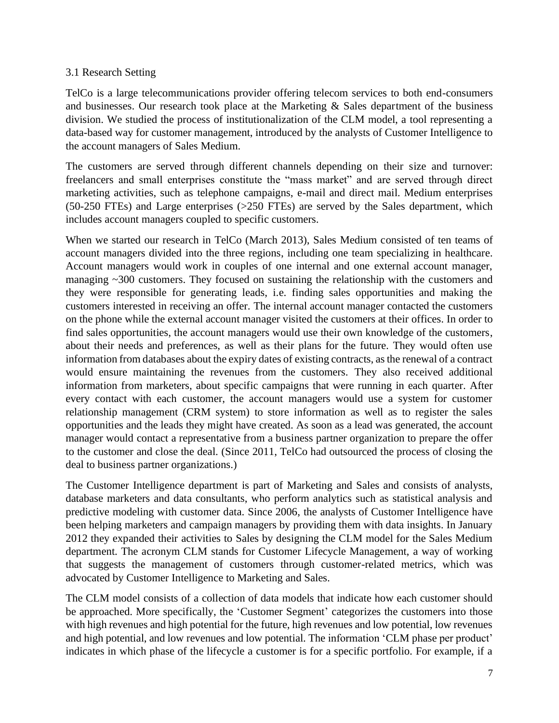# 3.1 Research Setting

TelCo is a large telecommunications provider offering telecom services to both end-consumers and businesses. Our research took place at the Marketing  $\&$  Sales department of the business division. We studied the process of institutionalization of the CLM model, a tool representing a data-based way for customer management, introduced by the analysts of Customer Intelligence to the account managers of Sales Medium.

The customers are served through different channels depending on their size and turnover: freelancers and small enterprises constitute the "mass market" and are served through direct marketing activities, such as telephone campaigns, e-mail and direct mail. Medium enterprises (50-250 FTEs) and Large enterprises (>250 FTEs) are served by the Sales department, which includes account managers coupled to specific customers.

When we started our research in TelCo (March 2013), Sales Medium consisted of ten teams of account managers divided into the three regions, including one team specializing in healthcare. Account managers would work in couples of one internal and one external account manager, managing ~300 customers. They focused on sustaining the relationship with the customers and they were responsible for generating leads, i.e. finding sales opportunities and making the customers interested in receiving an offer. The internal account manager contacted the customers on the phone while the external account manager visited the customers at their offices. In order to find sales opportunities, the account managers would use their own knowledge of the customers, about their needs and preferences, as well as their plans for the future. They would often use information from databases about the expiry dates of existing contracts, as the renewal of a contract would ensure maintaining the revenues from the customers. They also received additional information from marketers, about specific campaigns that were running in each quarter. After every contact with each customer, the account managers would use a system for customer relationship management (CRM system) to store information as well as to register the sales opportunities and the leads they might have created. As soon as a lead was generated, the account manager would contact a representative from a business partner organization to prepare the offer to the customer and close the deal. (Since 2011, TelCo had outsourced the process of closing the deal to business partner organizations.)

The Customer Intelligence department is part of Marketing and Sales and consists of analysts, database marketers and data consultants, who perform analytics such as statistical analysis and predictive modeling with customer data. Since 2006, the analysts of Customer Intelligence have been helping marketers and campaign managers by providing them with data insights. In January 2012 they expanded their activities to Sales by designing the CLM model for the Sales Medium department. The acronym CLM stands for Customer Lifecycle Management, a way of working that suggests the management of customers through customer-related metrics, which was advocated by Customer Intelligence to Marketing and Sales.

The CLM model consists of a collection of data models that indicate how each customer should be approached. More specifically, the 'Customer Segment' categorizes the customers into those with high revenues and high potential for the future, high revenues and low potential, low revenues and high potential, and low revenues and low potential. The information 'CLM phase per product' indicates in which phase of the lifecycle a customer is for a specific portfolio. For example, if a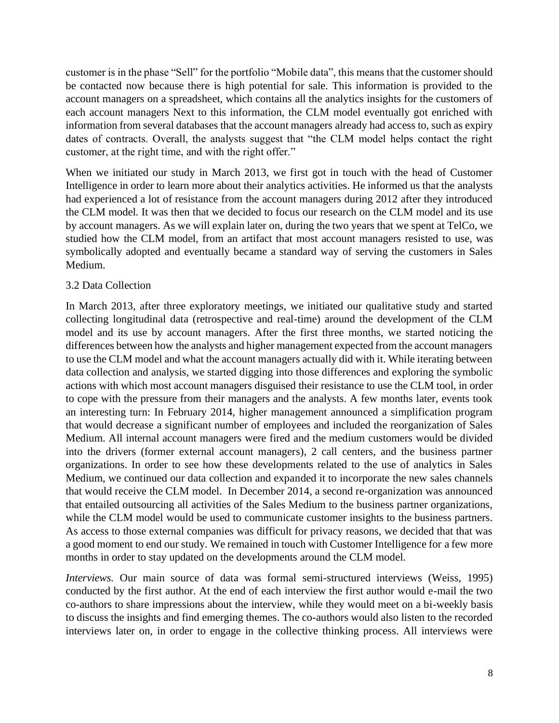customer is in the phase "Sell" for the portfolio "Mobile data", this means that the customer should be contacted now because there is high potential for sale. This information is provided to the account managers on a spreadsheet, which contains all the analytics insights for the customers of each account managers Next to this information, the CLM model eventually got enriched with information from several databases that the account managers already had access to, such as expiry dates of contracts. Overall, the analysts suggest that "the CLM model helps contact the right customer, at the right time, and with the right offer."

When we initiated our study in March 2013, we first got in touch with the head of Customer Intelligence in order to learn more about their analytics activities. He informed us that the analysts had experienced a lot of resistance from the account managers during 2012 after they introduced the CLM model. It was then that we decided to focus our research on the CLM model and its use by account managers. As we will explain later on, during the two years that we spent at TelCo, we studied how the CLM model, from an artifact that most account managers resisted to use, was symbolically adopted and eventually became a standard way of serving the customers in Sales Medium.

# 3.2 Data Collection

In March 2013, after three exploratory meetings, we initiated our qualitative study and started collecting longitudinal data (retrospective and real-time) around the development of the CLM model and its use by account managers. After the first three months, we started noticing the differences between how the analysts and higher management expected from the account managers to use the CLM model and what the account managers actually did with it. While iterating between data collection and analysis, we started digging into those differences and exploring the symbolic actions with which most account managers disguised their resistance to use the CLM tool, in order to cope with the pressure from their managers and the analysts. A few months later, events took an interesting turn: In February 2014, higher management announced a simplification program that would decrease a significant number of employees and included the reorganization of Sales Medium. All internal account managers were fired and the medium customers would be divided into the drivers (former external account managers), 2 call centers, and the business partner organizations. In order to see how these developments related to the use of analytics in Sales Medium, we continued our data collection and expanded it to incorporate the new sales channels that would receive the CLM model. In December 2014, a second re-organization was announced that entailed outsourcing all activities of the Sales Medium to the business partner organizations, while the CLM model would be used to communicate customer insights to the business partners. As access to those external companies was difficult for privacy reasons, we decided that that was a good moment to end our study. We remained in touch with Customer Intelligence for a few more months in order to stay updated on the developments around the CLM model.

*Interviews.* Our main source of data was formal semi-structured interviews (Weiss, 1995) conducted by the first author. At the end of each interview the first author would e-mail the two co-authors to share impressions about the interview, while they would meet on a bi-weekly basis to discuss the insights and find emerging themes. The co-authors would also listen to the recorded interviews later on, in order to engage in the collective thinking process. All interviews were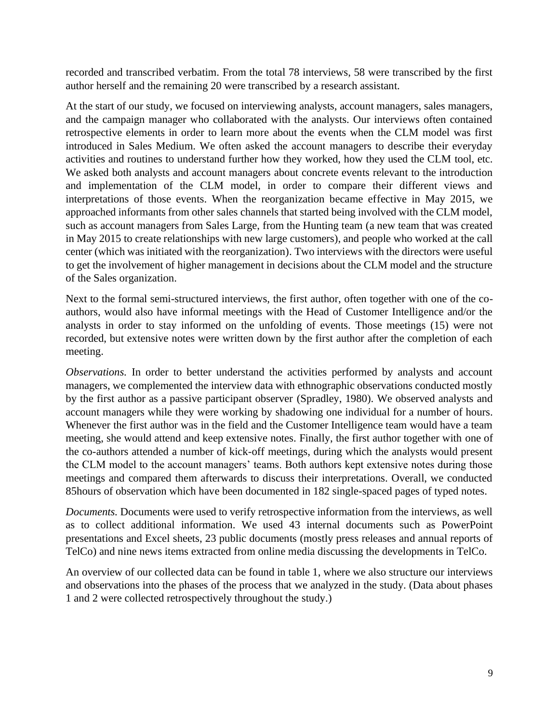recorded and transcribed verbatim. From the total 78 interviews, 58 were transcribed by the first author herself and the remaining 20 were transcribed by a research assistant.

At the start of our study, we focused on interviewing analysts, account managers, sales managers, and the campaign manager who collaborated with the analysts. Our interviews often contained retrospective elements in order to learn more about the events when the CLM model was first introduced in Sales Medium. We often asked the account managers to describe their everyday activities and routines to understand further how they worked, how they used the CLM tool, etc. We asked both analysts and account managers about concrete events relevant to the introduction and implementation of the CLM model, in order to compare their different views and interpretations of those events. When the reorganization became effective in May 2015, we approached informants from other sales channels that started being involved with the CLM model, such as account managers from Sales Large, from the Hunting team (a new team that was created in May 2015 to create relationships with new large customers), and people who worked at the call center (which was initiated with the reorganization). Two interviews with the directors were useful to get the involvement of higher management in decisions about the CLM model and the structure of the Sales organization.

Next to the formal semi-structured interviews, the first author, often together with one of the coauthors, would also have informal meetings with the Head of Customer Intelligence and/or the analysts in order to stay informed on the unfolding of events. Those meetings (15) were not recorded, but extensive notes were written down by the first author after the completion of each meeting.

*Observations*. In order to better understand the activities performed by analysts and account managers, we complemented the interview data with ethnographic observations conducted mostly by the first author as a passive participant observer (Spradley, 1980). We observed analysts and account managers while they were working by shadowing one individual for a number of hours. Whenever the first author was in the field and the Customer Intelligence team would have a team meeting, she would attend and keep extensive notes. Finally, the first author together with one of the co-authors attended a number of kick-off meetings, during which the analysts would present the CLM model to the account managers' teams. Both authors kept extensive notes during those meetings and compared them afterwards to discuss their interpretations. Overall, we conducted 85hours of observation which have been documented in 182 single-spaced pages of typed notes.

*Documents.* Documents were used to verify retrospective information from the interviews, as well as to collect additional information. We used 43 internal documents such as PowerPoint presentations and Excel sheets, 23 public documents (mostly press releases and annual reports of TelCo) and nine news items extracted from online media discussing the developments in TelCo.

An overview of our collected data can be found in table 1, where we also structure our interviews and observations into the phases of the process that we analyzed in the study. (Data about phases 1 and 2 were collected retrospectively throughout the study.)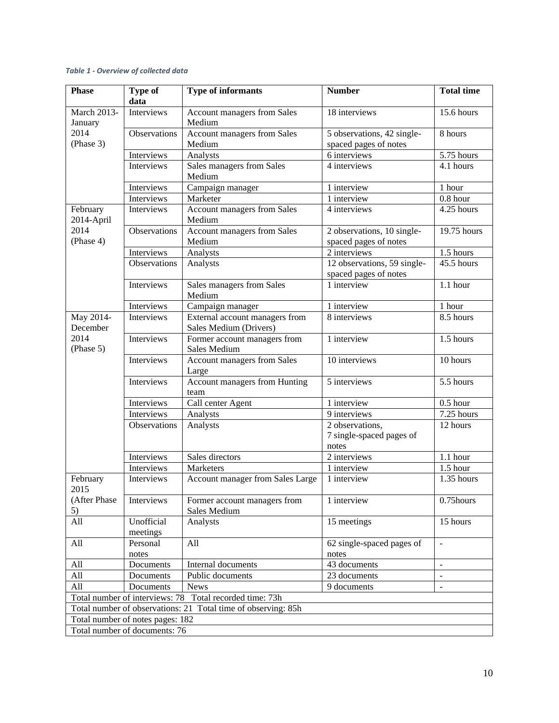#### *Table 1 - Overview of collected data*

| <b>Phase</b>                  | <b>Type of</b><br>data           | <b>Type of informants</b>                                     | <b>Number</b>                                        | <b>Total time</b> |
|-------------------------------|----------------------------------|---------------------------------------------------------------|------------------------------------------------------|-------------------|
| <b>March 2013-</b><br>January | Interviews                       | Account managers from Sales<br>Medium                         | 18 interviews                                        | 15.6 hours        |
| 2014<br>(Phase 3)             | Observations                     | Account managers from Sales<br>Medium                         | 5 observations, 42 single-<br>spaced pages of notes  | 8 hours           |
|                               | Interviews                       | Analysts                                                      | 6 interviews                                         | 5.75 hours        |
|                               | Interviews                       | Sales managers from Sales<br>Medium                           | 4 interviews                                         | 4.1 hours         |
|                               | Interviews                       | Campaign manager                                              | 1 interview                                          | 1 hour            |
|                               | Interviews                       | Marketer                                                      | 1 interview                                          | $0.8$ hour        |
| February<br>2014-April        | Interviews                       | Account managers from Sales<br>Medium                         | 4 interviews                                         | 4.25 hours        |
| 2014<br>(Phase 4)             | Observations                     | Account managers from Sales<br>Medium                         | 2 observations, 10 single-<br>spaced pages of notes  | 19.75 hours       |
|                               | Interviews                       | Analysts                                                      | $\overline{2}$ interviews                            | 1.5 hours         |
|                               | <b>Observations</b>              | Analysts                                                      | 12 observations, 59 single-<br>spaced pages of notes | 45.5 hours        |
|                               | Interviews                       | Sales managers from Sales<br>Medium                           | 1 interview                                          | $1.1$ hour        |
|                               | Interviews                       | Campaign manager                                              | 1 interview                                          | 1 hour            |
| May 2014-<br>December         | Interviews                       | External account managers from<br>Sales Medium (Drivers)      | 8 interviews                                         | 8.5 hours         |
| 2014<br>(Phase 5)             | Interviews                       | Former account managers from<br>Sales Medium                  | 1 interview                                          | 1.5 hours         |
|                               | Interviews                       | Account managers from Sales<br>Large                          | 10 interviews                                        | 10 hours          |
|                               | Interviews                       | Account managers from Hunting<br>team                         | 5 interviews                                         | 5.5 hours         |
|                               | Interviews                       | Call center Agent                                             | 1 interview                                          | $0.5$ hour        |
|                               | Interviews                       | Analysts                                                      | 9 interviews                                         | 7.25 hours        |
|                               | Observations                     | Analysts                                                      | 2 observations,<br>7 single-spaced pages of<br>notes | 12 hours          |
|                               | Interviews                       | Sales directors                                               | 2 interviews                                         | 1.1 hour          |
|                               | Interviews                       | Marketers                                                     | 1 interview                                          | $1.5$ hour        |
| February<br>2015              | Interviews                       | Account manager from Sales Large                              | 1 interview                                          | 1.35 hours        |
| (After Phase<br>5)            | Interviews                       | Former account managers from<br>Sales Medium                  | 1 interview                                          | 0.75hours         |
| All                           | Unofficial<br>meetings           | Analysts                                                      | 15 meetings                                          | 15 hours          |
| All                           | Personal<br>notes                | All                                                           | 62 single-spaced pages of<br>notes                   | $\overline{a}$    |
| All                           | Documents                        | Internal documents                                            | 43 documents                                         | $\sim$            |
| All                           | Documents                        | Public documents                                              | 23 documents                                         |                   |
| All                           | Documents                        | <b>News</b>                                                   | 9 documents                                          |                   |
|                               |                                  | Total number of interviews: 78 Total recorded time: 73h       |                                                      |                   |
|                               |                                  | Total number of observations: 21 Total time of observing: 85h |                                                      |                   |
|                               | Total number of notes pages: 182 |                                                               |                                                      |                   |
|                               | Total number of documents: 76    |                                                               |                                                      |                   |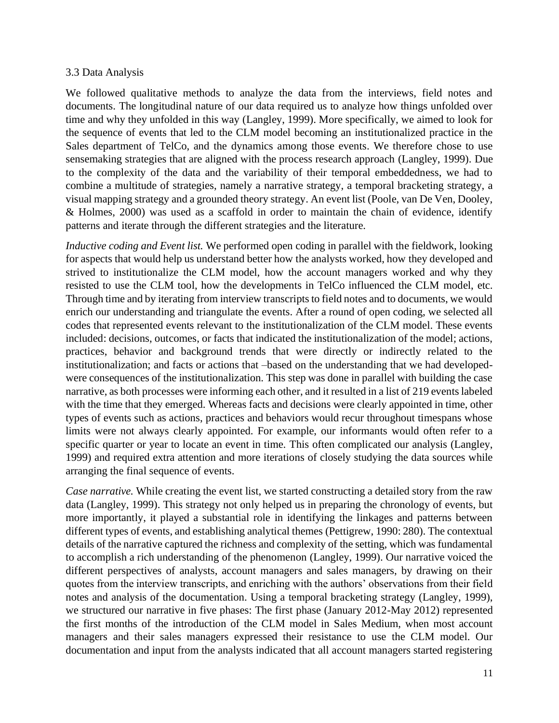### 3.3 Data Analysis

We followed qualitative methods to analyze the data from the interviews, field notes and documents. The longitudinal nature of our data required us to analyze how things unfolded over time and why they unfolded in this way (Langley, 1999). More specifically, we aimed to look for the sequence of events that led to the CLM model becoming an institutionalized practice in the Sales department of TelCo, and the dynamics among those events. We therefore chose to use sensemaking strategies that are aligned with the process research approach (Langley, 1999). Due to the complexity of the data and the variability of their temporal embeddedness, we had to combine a multitude of strategies, namely a narrative strategy, a temporal bracketing strategy, a visual mapping strategy and a grounded theory strategy. An event list (Poole, van De Ven, Dooley, & Holmes, 2000) was used as a scaffold in order to maintain the chain of evidence, identify patterns and iterate through the different strategies and the literature.

*Inductive coding and Event list.* We performed open coding in parallel with the fieldwork, looking for aspects that would help us understand better how the analysts worked, how they developed and strived to institutionalize the CLM model, how the account managers worked and why they resisted to use the CLM tool, how the developments in TelCo influenced the CLM model, etc. Through time and by iterating from interview transcripts to field notes and to documents, we would enrich our understanding and triangulate the events. After a round of open coding, we selected all codes that represented events relevant to the institutionalization of the CLM model. These events included: decisions, outcomes, or facts that indicated the institutionalization of the model; actions, practices, behavior and background trends that were directly or indirectly related to the institutionalization; and facts or actions that –based on the understanding that we had developedwere consequences of the institutionalization. This step was done in parallel with building the case narrative, as both processes were informing each other, and it resulted in a list of 219 events labeled with the time that they emerged. Whereas facts and decisions were clearly appointed in time, other types of events such as actions, practices and behaviors would recur throughout timespans whose limits were not always clearly appointed. For example, our informants would often refer to a specific quarter or year to locate an event in time. This often complicated our analysis (Langley, 1999) and required extra attention and more iterations of closely studying the data sources while arranging the final sequence of events.

*Case narrative.* While creating the event list, we started constructing a detailed story from the raw data (Langley, 1999). This strategy not only helped us in preparing the chronology of events, but more importantly, it played a substantial role in identifying the linkages and patterns between different types of events, and establishing analytical themes (Pettigrew, 1990: 280). The contextual details of the narrative captured the richness and complexity of the setting, which was fundamental to accomplish a rich understanding of the phenomenon (Langley, 1999). Our narrative voiced the different perspectives of analysts, account managers and sales managers, by drawing on their quotes from the interview transcripts, and enriching with the authors' observations from their field notes and analysis of the documentation. Using a temporal bracketing strategy (Langley, 1999), we structured our narrative in five phases: The first phase (January 2012-May 2012) represented the first months of the introduction of the CLM model in Sales Medium, when most account managers and their sales managers expressed their resistance to use the CLM model. Our documentation and input from the analysts indicated that all account managers started registering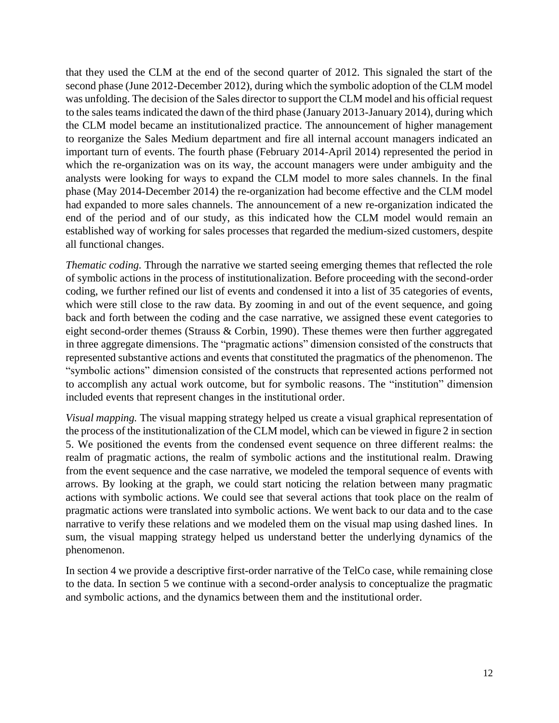that they used the CLM at the end of the second quarter of 2012. This signaled the start of the second phase (June 2012-December 2012), during which the symbolic adoption of the CLM model was unfolding. The decision of the Sales director to support the CLM model and his official request to the sales teams indicated the dawn of the third phase (January 2013-January 2014), during which the CLM model became an institutionalized practice. The announcement of higher management to reorganize the Sales Medium department and fire all internal account managers indicated an important turn of events. The fourth phase (February 2014-April 2014) represented the period in which the re-organization was on its way, the account managers were under ambiguity and the analysts were looking for ways to expand the CLM model to more sales channels. In the final phase (May 2014-December 2014) the re-organization had become effective and the CLM model had expanded to more sales channels. The announcement of a new re-organization indicated the end of the period and of our study, as this indicated how the CLM model would remain an established way of working for sales processes that regarded the medium-sized customers, despite all functional changes.

*Thematic coding.* Through the narrative we started seeing emerging themes that reflected the role of symbolic actions in the process of institutionalization. Before proceeding with the second-order coding, we further refined our list of events and condensed it into a list of 35 categories of events, which were still close to the raw data. By zooming in and out of the event sequence, and going back and forth between the coding and the case narrative, we assigned these event categories to eight second-order themes (Strauss & Corbin, 1990). These themes were then further aggregated in three aggregate dimensions. The "pragmatic actions" dimension consisted of the constructs that represented substantive actions and events that constituted the pragmatics of the phenomenon. The "symbolic actions" dimension consisted of the constructs that represented actions performed not to accomplish any actual work outcome, but for symbolic reasons. The "institution" dimension included events that represent changes in the institutional order.

*Visual mapping.* The visual mapping strategy helped us create a visual graphical representation of the process of the institutionalization of the CLM model, which can be viewed in figure 2 in section 5. We positioned the events from the condensed event sequence on three different realms: the realm of pragmatic actions, the realm of symbolic actions and the institutional realm. Drawing from the event sequence and the case narrative, we modeled the temporal sequence of events with arrows. By looking at the graph, we could start noticing the relation between many pragmatic actions with symbolic actions. We could see that several actions that took place on the realm of pragmatic actions were translated into symbolic actions. We went back to our data and to the case narrative to verify these relations and we modeled them on the visual map using dashed lines. In sum, the visual mapping strategy helped us understand better the underlying dynamics of the phenomenon.

In section 4 we provide a descriptive first-order narrative of the TelCo case, while remaining close to the data. In section 5 we continue with a second-order analysis to conceptualize the pragmatic and symbolic actions, and the dynamics between them and the institutional order.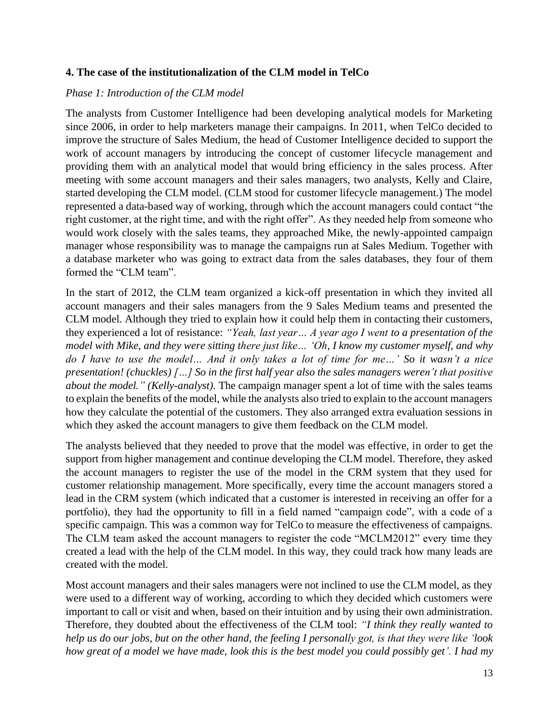# **4. The case of the institutionalization of the CLM model in TelCo**

## *Phase 1: Introduction of the CLM model*

The analysts from Customer Intelligence had been developing analytical models for Marketing since 2006, in order to help marketers manage their campaigns. In 2011, when TelCo decided to improve the structure of Sales Medium, the head of Customer Intelligence decided to support the work of account managers by introducing the concept of customer lifecycle management and providing them with an analytical model that would bring efficiency in the sales process. After meeting with some account managers and their sales managers, two analysts, Kelly and Claire, started developing the CLM model. (CLM stood for customer lifecycle management.) The model represented a data-based way of working, through which the account managers could contact "the right customer, at the right time, and with the right offer". As they needed help from someone who would work closely with the sales teams, they approached Mike, the newly-appointed campaign manager whose responsibility was to manage the campaigns run at Sales Medium. Together with a database marketer who was going to extract data from the sales databases, they four of them formed the "CLM team".

In the start of 2012, the CLM team organized a kick-off presentation in which they invited all account managers and their sales managers from the 9 Sales Medium teams and presented the CLM model. Although they tried to explain how it could help them in contacting their customers, they experienced a lot of resistance: *"Yeah, last year… A year ago I went to a presentation of the model with Mike, and they were sitting there just like… 'Oh, I know my customer myself, and why do I have to use the model… And it only takes a lot of time for me…' So it wasn't a nice presentation! (chuckles) […] So in the first half year also the sales managers weren't that positive about the model." (Kelly-analyst).* The campaign manager spent a lot of time with the sales teams to explain the benefits of the model, while the analysts also tried to explain to the account managers how they calculate the potential of the customers. They also arranged extra evaluation sessions in which they asked the account managers to give them feedback on the CLM model.

The analysts believed that they needed to prove that the model was effective, in order to get the support from higher management and continue developing the CLM model. Therefore, they asked the account managers to register the use of the model in the CRM system that they used for customer relationship management. More specifically, every time the account managers stored a lead in the CRM system (which indicated that a customer is interested in receiving an offer for a portfolio), they had the opportunity to fill in a field named "campaign code", with a code of a specific campaign. This was a common way for TelCo to measure the effectiveness of campaigns. The CLM team asked the account managers to register the code "MCLM2012" every time they created a lead with the help of the CLM model. In this way, they could track how many leads are created with the model.

Most account managers and their sales managers were not inclined to use the CLM model, as they were used to a different way of working, according to which they decided which customers were important to call or visit and when, based on their intuition and by using their own administration. Therefore, they doubted about the effectiveness of the CLM tool: *"I think they really wanted to help us do our jobs, but on the other hand, the feeling I personally got, is that they were like 'look how great of a model we have made, look this is the best model you could possibly get'. I had my*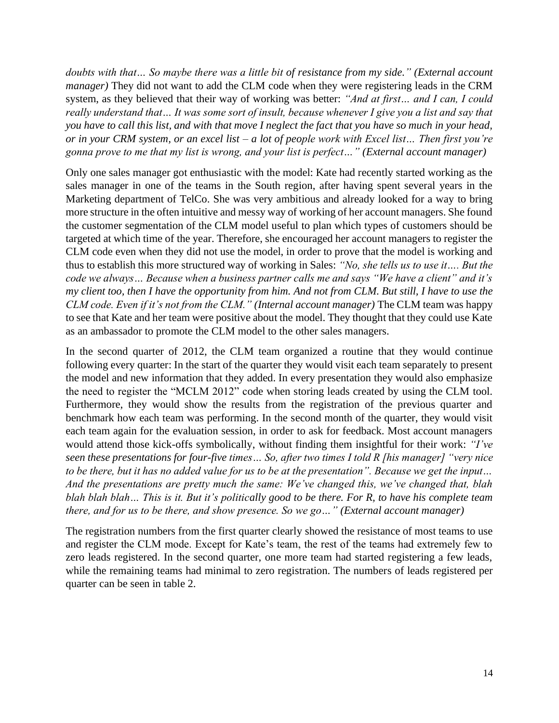*doubts with that… So maybe there was a little bit of resistance from my side." (External account manager)* They did not want to add the CLM code when they were registering leads in the CRM system, as they believed that their way of working was better: *"And at first… and I can, I could really understand that… It was some sort of insult, because whenever I give you a list and say that you have to call this list, and with that move I neglect the fact that you have so much in your head, or in your CRM system, or an excel list – a lot of people work with Excel list… Then first you're gonna prove to me that my list is wrong, and your list is perfect…" (External account manager)*

Only one sales manager got enthusiastic with the model: Kate had recently started working as the sales manager in one of the teams in the South region, after having spent several years in the Marketing department of TelCo. She was very ambitious and already looked for a way to bring more structure in the often intuitive and messy way of working of her account managers. She found the customer segmentation of the CLM model useful to plan which types of customers should be targeted at which time of the year. Therefore, she encouraged her account managers to register the CLM code even when they did not use the model, in order to prove that the model is working and thus to establish this more structured way of working in Sales: *"No, she tells us to use it…. But the code we always… Because when a business partner calls me and says "We have a client" and it's my client too, then I have the opportunity from him. And not from CLM. But still, I have to use the CLM code. Even if it's not from the CLM." (Internal account manager)* The CLM team was happy to see that Kate and her team were positive about the model. They thought that they could use Kate as an ambassador to promote the CLM model to the other sales managers.

In the second quarter of 2012, the CLM team organized a routine that they would continue following every quarter: In the start of the quarter they would visit each team separately to present the model and new information that they added. In every presentation they would also emphasize the need to register the "MCLM 2012" code when storing leads created by using the CLM tool. Furthermore, they would show the results from the registration of the previous quarter and benchmark how each team was performing. In the second month of the quarter, they would visit each team again for the evaluation session, in order to ask for feedback. Most account managers would attend those kick-offs symbolically, without finding them insightful for their work: *"I've seen these presentations for four-five times… So, after two times I told R [his manager] "very nice to be there, but it has no added value for us to be at the presentation". Because we get the input… And the presentations are pretty much the same: We've changed this, we've changed that, blah blah blah blah… This is it. But it's politically good to be there. For R, to have his complete team there, and for us to be there, and show presence. So we go…" (External account manager)*

The registration numbers from the first quarter clearly showed the resistance of most teams to use and register the CLM mode. Except for Kate's team, the rest of the teams had extremely few to zero leads registered. In the second quarter, one more team had started registering a few leads, while the remaining teams had minimal to zero registration. The numbers of leads registered per quarter can be seen in table 2.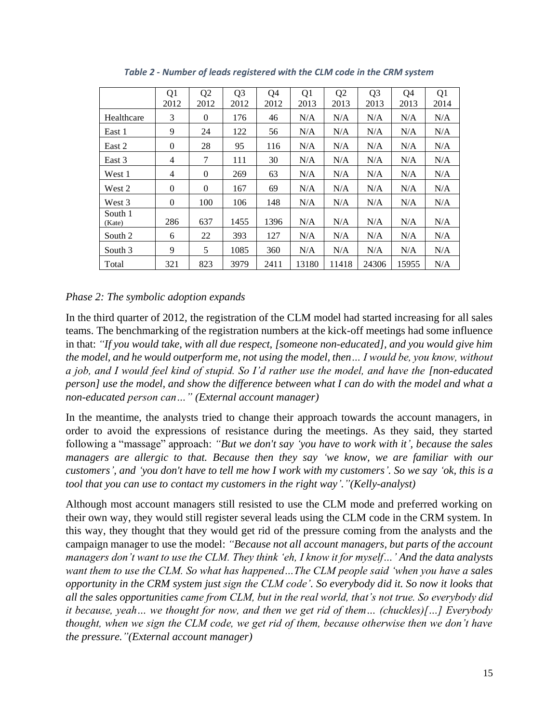|                   | Q <sub>1</sub><br>2012 | Q <sub>2</sub><br>2012 | Q <sub>3</sub><br>2012 | Q4<br>2012 | Q1<br>2013 | Q <sub>2</sub><br>2013 | Q <sub>3</sub><br>2013 | Q4<br>2013 | Q <sub>1</sub><br>2014 |
|-------------------|------------------------|------------------------|------------------------|------------|------------|------------------------|------------------------|------------|------------------------|
| Healthcare        | 3                      | 0                      | 176                    | 46         | N/A        | N/A                    | N/A                    | N/A        | N/A                    |
| East 1            | 9                      | 24                     | 122                    | 56         | N/A        | N/A                    | N/A                    | N/A        | N/A                    |
| East 2            | $\theta$               | 28                     | 95                     | 116        | N/A        | N/A                    | N/A                    | N/A        | N/A                    |
| East 3            | 4                      | 7                      | 111                    | 30         | N/A        | N/A                    | N/A                    | N/A        | N/A                    |
| West 1            | 4                      | $\mathbf{0}$           | 269                    | 63         | N/A        | N/A                    | N/A                    | N/A        | N/A                    |
| West 2            | $\Omega$               | $\mathbf{0}$           | 167                    | 69         | N/A        | N/A                    | N/A                    | N/A        | N/A                    |
| West 3            | $\theta$               | 100                    | 106                    | 148        | N/A        | N/A                    | N/A                    | N/A        | N/A                    |
| South 1<br>(Kate) | 286                    | 637                    | 1455                   | 1396       | N/A        | N/A                    | N/A                    | N/A        | N/A                    |
| South 2           | 6                      | 22                     | 393                    | 127        | N/A        | N/A                    | N/A                    | N/A        | N/A                    |
| South 3           | 9                      | 5                      | 1085                   | 360        | N/A        | N/A                    | N/A                    | N/A        | N/A                    |
| Total             | 321                    | 823                    | 3979                   | 2411       | 13180      | 11418                  | 24306                  | 15955      | N/A                    |

*Table 2 - Number of leads registered with the CLM code in the CRM system*

# *Phase 2: The symbolic adoption expands*

In the third quarter of 2012, the registration of the CLM model had started increasing for all sales teams. The benchmarking of the registration numbers at the kick-off meetings had some influence in that: *"If you would take, with all due respect, [someone non-educated], and you would give him the model, and he would outperform me, not using the model, then… I would be, you know, without a job, and I would feel kind of stupid. So I'd rather use the model, and have the [non-educated person] use the model, and show the difference between what I can do with the model and what a non-educated person can…" (External account manager)*

In the meantime, the analysts tried to change their approach towards the account managers, in order to avoid the expressions of resistance during the meetings. As they said, they started following a "massage" approach: *"But we don't say 'you have to work with it', because the sales managers are allergic to that. Because then they say 'we know, we are familiar with our customers', and 'you don't have to tell me how I work with my customers'. So we say 'ok, this is a tool that you can use to contact my customers in the right way'."(Kelly-analyst)*

Although most account managers still resisted to use the CLM mode and preferred working on their own way, they would still register several leads using the CLM code in the CRM system. In this way, they thought that they would get rid of the pressure coming from the analysts and the campaign manager to use the model: *"Because not all account managers, but parts of the account managers don't want to use the CLM. They think 'eh, I know it for myself…' And the data analysts want them to use the CLM. So what has happened…The CLM people said 'when you have a sales opportunity in the CRM system just sign the CLM code'. So everybody did it. So now it looks that all the sales opportunities came from CLM, but in the real world, that's not true. So everybody did it because, yeah… we thought for now, and then we get rid of them… (chuckles)[…] Everybody thought, when we sign the CLM code, we get rid of them, because otherwise then we don't have the pressure."(External account manager)*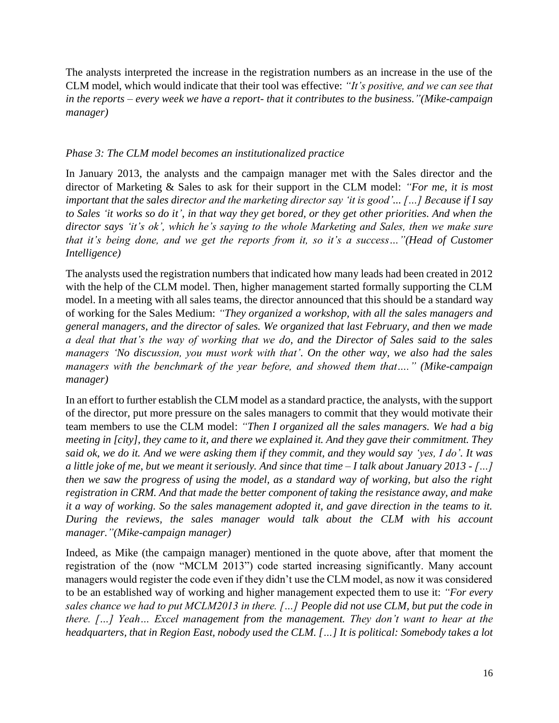The analysts interpreted the increase in the registration numbers as an increase in the use of the CLM model, which would indicate that their tool was effective: *"It's positive, and we can see that in the reports – every week we have a report- that it contributes to the business."(Mike-campaign manager)*

# *Phase 3: The CLM model becomes an institutionalized practice*

In January 2013, the analysts and the campaign manager met with the Sales director and the director of Marketing & Sales to ask for their support in the CLM model: *"For me, it is most important that the sales director and the marketing director say 'it is good'... […] Because if I say to Sales 'it works so do it', in that way they get bored, or they get other priorities. And when the director says 'it's ok', which he's saying to the whole Marketing and Sales, then we make sure that it's being done, and we get the reports from it, so it's a success..."(Head of Customer Intelligence)*

The analysts used the registration numbers that indicated how many leads had been created in 2012 with the help of the CLM model. Then, higher management started formally supporting the CLM model. In a meeting with all sales teams, the director announced that this should be a standard way of working for the Sales Medium: *"They organized a workshop, with all the sales managers and general managers, and the director of sales. We organized that last February, and then we made a deal that that's the way of working that we do, and the Director of Sales said to the sales managers 'No discussion, you must work with that'. On the other way, we also had the sales managers with the benchmark of the year before, and showed them that…." (Mike-campaign manager)*

In an effort to further establish the CLM model as a standard practice, the analysts, with the support of the director, put more pressure on the sales managers to commit that they would motivate their team members to use the CLM model: *"Then I organized all the sales managers. We had a big meeting in [city], they came to it, and there we explained it. And they gave their commitment. They said ok, we do it. And we were asking them if they commit, and they would say 'yes, I do'. It was a little joke of me, but we meant it seriously. And since that time – I talk about January 2013 - […] then we saw the progress of using the model, as a standard way of working, but also the right registration in CRM. And that made the better component of taking the resistance away, and make it a way of working. So the sales management adopted it, and gave direction in the teams to it. During the reviews, the sales manager would talk about the CLM with his account manager."(Mike-campaign manager)*

Indeed, as Mike (the campaign manager) mentioned in the quote above, after that moment the registration of the (now "MCLM 2013") code started increasing significantly. Many account managers would register the code even if they didn't use the CLM model, as now it was considered to be an established way of working and higher management expected them to use it: *"For every sales chance we had to put MCLM2013 in there. […] People did not use CLM, but put the code in there. […] Yeah… Excel management from the management. They don't want to hear at the headquarters, that in Region East, nobody used the CLM. […] It is political: Somebody takes a lot*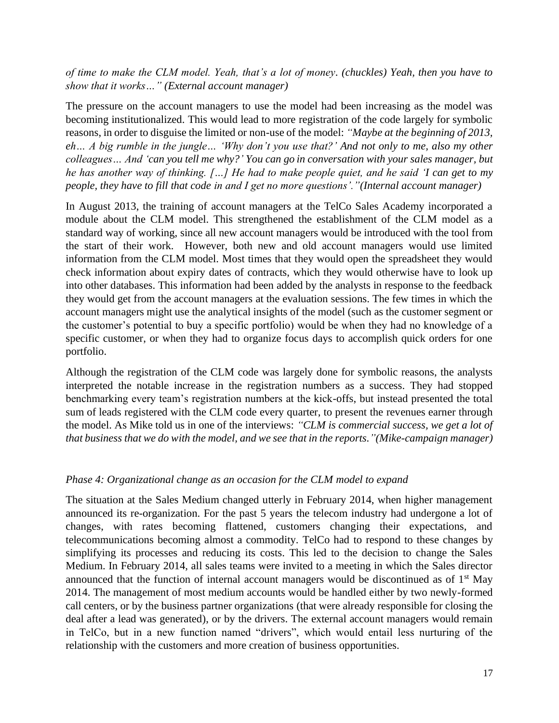*of time to make the CLM model. Yeah, that's a lot of money. (chuckles) Yeah, then you have to show that it works…" (External account manager)*

The pressure on the account managers to use the model had been increasing as the model was becoming institutionalized. This would lead to more registration of the code largely for symbolic reasons, in order to disguise the limited or non-use of the model: *"Maybe at the beginning of 2013, eh… A big rumble in the jungle… 'Why don't you use that?' And not only to me, also my other colleagues… And 'can you tell me why?' You can go in conversation with your sales manager, but he has another way of thinking. […] He had to make people quiet, and he said 'I can get to my people, they have to fill that code in and I get no more questions'."(Internal account manager)*

In August 2013, the training of account managers at the TelCo Sales Academy incorporated a module about the CLM model. This strengthened the establishment of the CLM model as a standard way of working, since all new account managers would be introduced with the tool from the start of their work. However, both new and old account managers would use limited information from the CLM model. Most times that they would open the spreadsheet they would check information about expiry dates of contracts, which they would otherwise have to look up into other databases. This information had been added by the analysts in response to the feedback they would get from the account managers at the evaluation sessions. The few times in which the account managers might use the analytical insights of the model (such as the customer segment or the customer's potential to buy a specific portfolio) would be when they had no knowledge of a specific customer, or when they had to organize focus days to accomplish quick orders for one portfolio.

Although the registration of the CLM code was largely done for symbolic reasons, the analysts interpreted the notable increase in the registration numbers as a success. They had stopped benchmarking every team's registration numbers at the kick-offs, but instead presented the total sum of leads registered with the CLM code every quarter, to present the revenues earner through the model. As Mike told us in one of the interviews: *"CLM is commercial success, we get a lot of that business that we do with the model, and we see that in the reports."(Mike-campaign manager)*

## *Phase 4: Organizational change as an occasion for the CLM model to expand*

The situation at the Sales Medium changed utterly in February 2014, when higher management announced its re-organization. For the past 5 years the telecom industry had undergone a lot of changes, with rates becoming flattened, customers changing their expectations, and telecommunications becoming almost a commodity. TelCo had to respond to these changes by simplifying its processes and reducing its costs. This led to the decision to change the Sales Medium. In February 2014, all sales teams were invited to a meeting in which the Sales director announced that the function of internal account managers would be discontinued as of  $1<sup>st</sup>$  May 2014. The management of most medium accounts would be handled either by two newly-formed call centers, or by the business partner organizations (that were already responsible for closing the deal after a lead was generated), or by the drivers. The external account managers would remain in TelCo, but in a new function named "drivers", which would entail less nurturing of the relationship with the customers and more creation of business opportunities.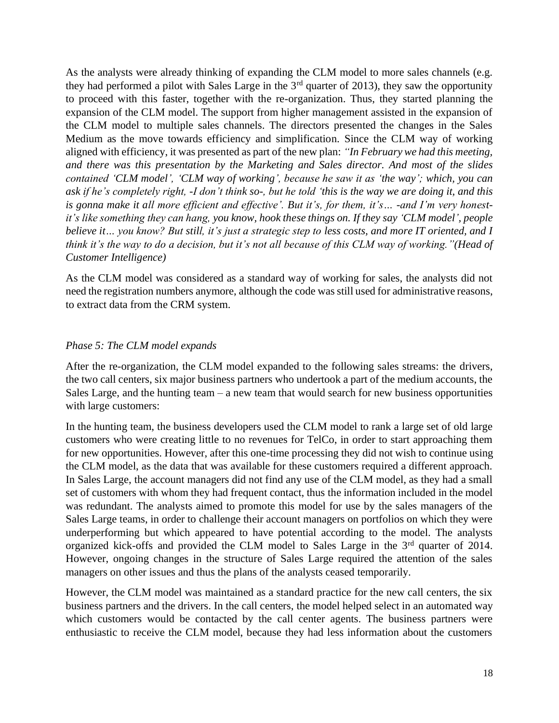As the analysts were already thinking of expanding the CLM model to more sales channels (e.g. they had performed a pilot with Sales Large in the  $3<sup>rd</sup>$  quarter of 2013), they saw the opportunity to proceed with this faster, together with the re-organization. Thus, they started planning the expansion of the CLM model. The support from higher management assisted in the expansion of the CLM model to multiple sales channels. The directors presented the changes in the Sales Medium as the move towards efficiency and simplification. Since the CLM way of working aligned with efficiency, it was presented as part of the new plan: *"In February we had this meeting, and there was this presentation by the Marketing and Sales director. And most of the slides contained 'CLM model', 'CLM way of working', because he saw it as 'the way'; which, you can ask if he's completely right, -I don't think so-, but he told 'this is the way we are doing it, and this is gonna make it all more efficient and effective'. But it's, for them, it's… -and I'm very honestit's like something they can hang, you know, hook these things on. If they say 'CLM model', people believe it… you know? But still, it's just a strategic step to less costs, and more IT oriented, and I think it's the way to do a decision, but it's not all because of this CLM way of working."(Head of Customer Intelligence)*

As the CLM model was considered as a standard way of working for sales, the analysts did not need the registration numbers anymore, although the code was still used for administrative reasons, to extract data from the CRM system.

## *Phase 5: The CLM model expands*

After the re-organization, the CLM model expanded to the following sales streams: the drivers, the two call centers, six major business partners who undertook a part of the medium accounts, the Sales Large, and the hunting team – a new team that would search for new business opportunities with large customers:

In the hunting team, the business developers used the CLM model to rank a large set of old large customers who were creating little to no revenues for TelCo, in order to start approaching them for new opportunities. However, after this one-time processing they did not wish to continue using the CLM model, as the data that was available for these customers required a different approach. In Sales Large, the account managers did not find any use of the CLM model, as they had a small set of customers with whom they had frequent contact, thus the information included in the model was redundant. The analysts aimed to promote this model for use by the sales managers of the Sales Large teams, in order to challenge their account managers on portfolios on which they were underperforming but which appeared to have potential according to the model. The analysts organized kick-offs and provided the CLM model to Sales Large in the 3rd quarter of 2014. However, ongoing changes in the structure of Sales Large required the attention of the sales managers on other issues and thus the plans of the analysts ceased temporarily.

However, the CLM model was maintained as a standard practice for the new call centers, the six business partners and the drivers. In the call centers, the model helped select in an automated way which customers would be contacted by the call center agents. The business partners were enthusiastic to receive the CLM model, because they had less information about the customers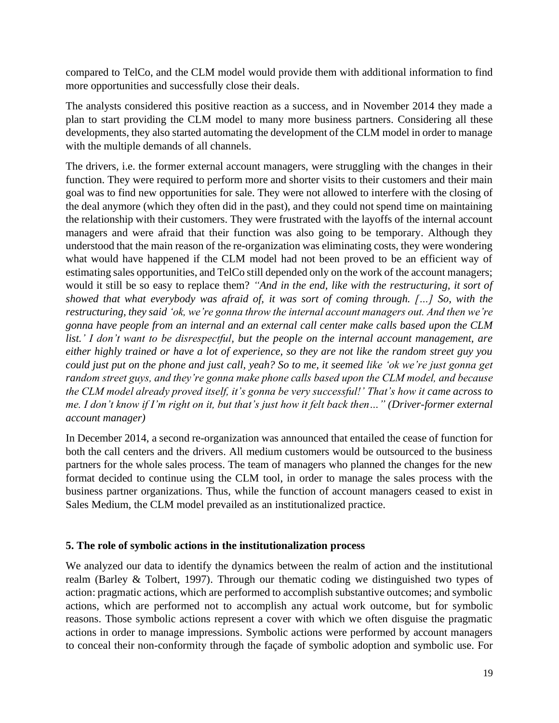compared to TelCo, and the CLM model would provide them with additional information to find more opportunities and successfully close their deals.

The analysts considered this positive reaction as a success, and in November 2014 they made a plan to start providing the CLM model to many more business partners. Considering all these developments, they also started automating the development of the CLM model in order to manage with the multiple demands of all channels.

The drivers, i.e. the former external account managers, were struggling with the changes in their function. They were required to perform more and shorter visits to their customers and their main goal was to find new opportunities for sale. They were not allowed to interfere with the closing of the deal anymore (which they often did in the past), and they could not spend time on maintaining the relationship with their customers. They were frustrated with the layoffs of the internal account managers and were afraid that their function was also going to be temporary. Although they understood that the main reason of the re-organization was eliminating costs, they were wondering what would have happened if the CLM model had not been proved to be an efficient way of estimating sales opportunities, and TelCo still depended only on the work of the account managers; would it still be so easy to replace them? *"And in the end, like with the restructuring, it sort of showed that what everybody was afraid of, it was sort of coming through. […] So, with the restructuring, they said 'ok, we're gonna throw the internal account managers out. And then we're gonna have people from an internal and an external call center make calls based upon the CLM list.' I don't want to be disrespectful, but the people on the internal account management, are either highly trained or have a lot of experience, so they are not like the random street guy you could just put on the phone and just call, yeah? So to me, it seemed like 'ok we're just gonna get random street guys, and they're gonna make phone calls based upon the CLM model, and because the CLM model already proved itself, it's gonna be very successful!' That's how it came across to me. I don't know if I'm right on it, but that's just how it felt back then…" (Driver-former external account manager)*

In December 2014, a second re-organization was announced that entailed the cease of function for both the call centers and the drivers. All medium customers would be outsourced to the business partners for the whole sales process. The team of managers who planned the changes for the new format decided to continue using the CLM tool, in order to manage the sales process with the business partner organizations. Thus, while the function of account managers ceased to exist in Sales Medium, the CLM model prevailed as an institutionalized practice.

## **5. The role of symbolic actions in the institutionalization process**

We analyzed our data to identify the dynamics between the realm of action and the institutional realm (Barley & Tolbert, 1997). Through our thematic coding we distinguished two types of action: pragmatic actions, which are performed to accomplish substantive outcomes; and symbolic actions, which are performed not to accomplish any actual work outcome, but for symbolic reasons. Those symbolic actions represent a cover with which we often disguise the pragmatic actions in order to manage impressions. Symbolic actions were performed by account managers to conceal their non-conformity through the façade of symbolic adoption and symbolic use. For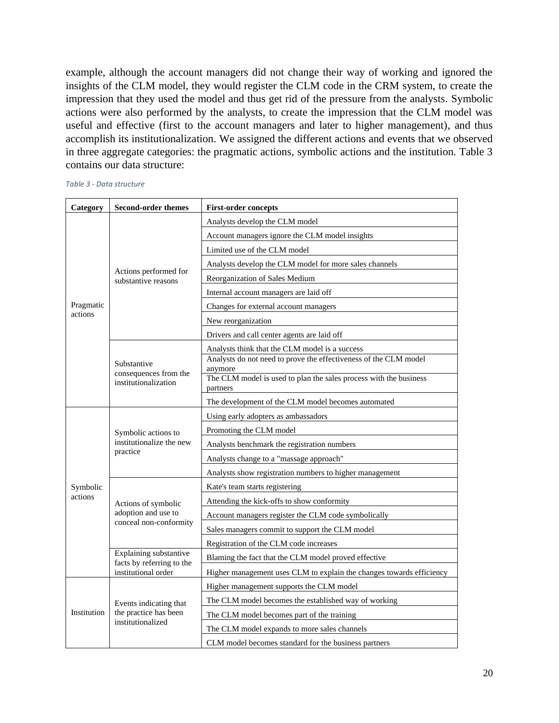example, although the account managers did not change their way of working and ignored the insights of the CLM model, they would register the CLM code in the CRM system, to create the impression that they used the model and thus get rid of the pressure from the analysts. Symbolic actions were also performed by the analysts, to create the impression that the CLM model was useful and effective (first to the account managers and later to higher management), and thus accomplish its institutionalization. We assigned the different actions and events that we observed in three aggregate categories: the pragmatic actions, symbolic actions and the institution. Table 3 contains our data structure:

|  |  | Table 3 - Data structure |
|--|--|--------------------------|
|--|--|--------------------------|

| Category    | <b>Second-order themes</b>                                  | <b>First-order concepts</b>                                                 |  |  |
|-------------|-------------------------------------------------------------|-----------------------------------------------------------------------------|--|--|
|             |                                                             | Analysts develop the CLM model                                              |  |  |
|             |                                                             | Account managers ignore the CLM model insights                              |  |  |
|             |                                                             | Limited use of the CLM model                                                |  |  |
|             |                                                             | Analysts develop the CLM model for more sales channels                      |  |  |
|             | Actions performed for<br>substantive reasons                | Reorganization of Sales Medium                                              |  |  |
|             |                                                             | Internal account managers are laid off                                      |  |  |
| Pragmatic   |                                                             | Changes for external account managers                                       |  |  |
| actions     |                                                             | New reorganization                                                          |  |  |
|             |                                                             | Drivers and call center agents are laid off                                 |  |  |
|             |                                                             | Analysts think that the CLM model is a success                              |  |  |
|             | Substantive                                                 | Analysts do not need to prove the effectiveness of the CLM model<br>anymore |  |  |
|             | consequences from the<br>institutionalization               | The CLM model is used to plan the sales process with the business           |  |  |
|             |                                                             | partners                                                                    |  |  |
|             |                                                             | The development of the CLM model becomes automated                          |  |  |
|             |                                                             | Using early adopters as ambassadors                                         |  |  |
|             | Symbolic actions to<br>institutionalize the new<br>practice | Promoting the CLM model                                                     |  |  |
|             |                                                             | Analysts benchmark the registration numbers                                 |  |  |
|             |                                                             | Analysts change to a "massage approach"                                     |  |  |
|             |                                                             | Analysts show registration numbers to higher management                     |  |  |
| Symbolic    |                                                             | Kate's team starts registering                                              |  |  |
| actions     | Actions of symbolic                                         | Attending the kick-offs to show conformity                                  |  |  |
|             | adoption and use to<br>conceal non-conformity               | Account managers register the CLM code symbolically                         |  |  |
|             |                                                             | Sales managers commit to support the CLM model                              |  |  |
|             |                                                             | Registration of the CLM code increases                                      |  |  |
|             | Explaining substantive<br>facts by referring to the         | Blaming the fact that the CLM model proved effective                        |  |  |
|             | institutional order                                         | Higher management uses CLM to explain the changes towards efficiency        |  |  |
|             |                                                             | Higher management supports the CLM model                                    |  |  |
|             | Events indicating that                                      | The CLM model becomes the established way of working                        |  |  |
| Institution | the practice has been                                       | The CLM model becomes part of the training                                  |  |  |
|             | institutionalized                                           | The CLM model expands to more sales channels                                |  |  |
|             |                                                             | CLM model becomes standard for the business partners                        |  |  |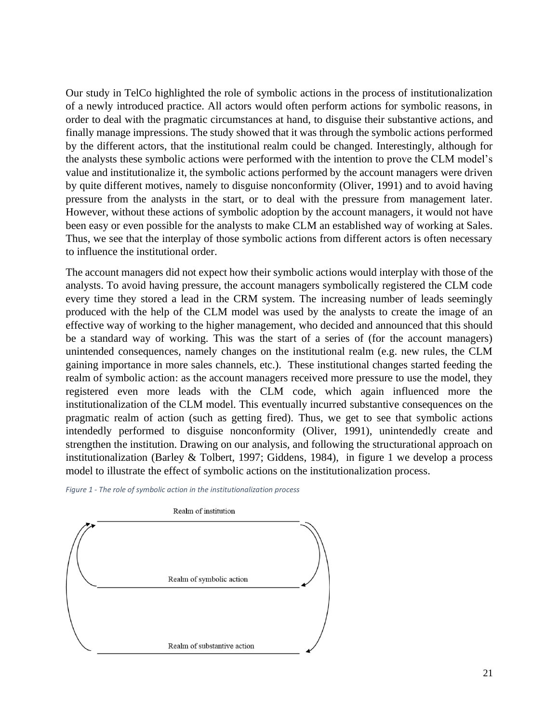Our study in TelCo highlighted the role of symbolic actions in the process of institutionalization of a newly introduced practice. All actors would often perform actions for symbolic reasons, in order to deal with the pragmatic circumstances at hand, to disguise their substantive actions, and finally manage impressions. The study showed that it was through the symbolic actions performed by the different actors, that the institutional realm could be changed. Interestingly, although for the analysts these symbolic actions were performed with the intention to prove the CLM model's value and institutionalize it, the symbolic actions performed by the account managers were driven by quite different motives, namely to disguise nonconformity (Oliver, 1991) and to avoid having pressure from the analysts in the start, or to deal with the pressure from management later. However, without these actions of symbolic adoption by the account managers, it would not have been easy or even possible for the analysts to make CLM an established way of working at Sales. Thus, we see that the interplay of those symbolic actions from different actors is often necessary to influence the institutional order.

The account managers did not expect how their symbolic actions would interplay with those of the analysts. To avoid having pressure, the account managers symbolically registered the CLM code every time they stored a lead in the CRM system. The increasing number of leads seemingly produced with the help of the CLM model was used by the analysts to create the image of an effective way of working to the higher management, who decided and announced that this should be a standard way of working. This was the start of a series of (for the account managers) unintended consequences, namely changes on the institutional realm (e.g. new rules, the CLM gaining importance in more sales channels, etc.). These institutional changes started feeding the realm of symbolic action: as the account managers received more pressure to use the model, they registered even more leads with the CLM code, which again influenced more the institutionalization of the CLM model. This eventually incurred substantive consequences on the pragmatic realm of action (such as getting fired). Thus, we get to see that symbolic actions intendedly performed to disguise nonconformity (Oliver, 1991), unintendedly create and strengthen the institution. Drawing on our analysis, and following the structurational approach on institutionalization (Barley & Tolbert, 1997; Giddens, 1984), in figure 1 we develop a process model to illustrate the effect of symbolic actions on the institutionalization process.



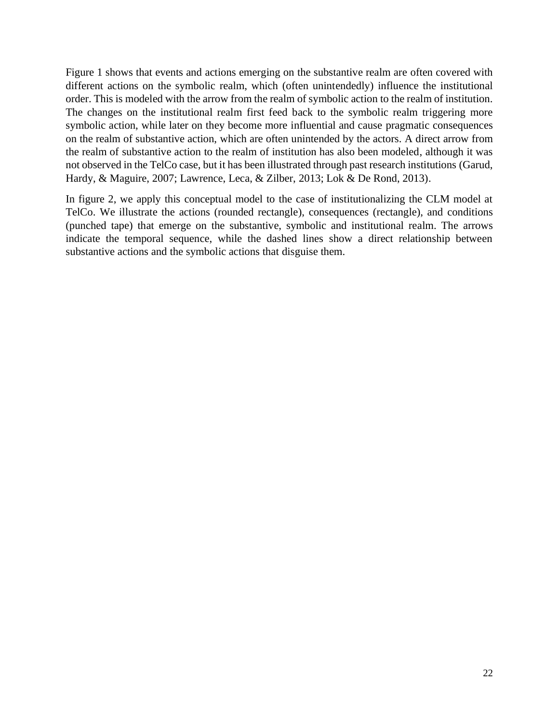Figure 1 shows that events and actions emerging on the substantive realm are often covered with different actions on the symbolic realm, which (often unintendedly) influence the institutional order. This is modeled with the arrow from the realm of symbolic action to the realm of institution. The changes on the institutional realm first feed back to the symbolic realm triggering more symbolic action, while later on they become more influential and cause pragmatic consequences on the realm of substantive action, which are often unintended by the actors. A direct arrow from the realm of substantive action to the realm of institution has also been modeled, although it was not observed in the TelCo case, but it has been illustrated through past research institutions (Garud, Hardy, & Maguire, 2007; Lawrence, Leca, & Zilber, 2013; Lok & De Rond, 2013).

In figure 2, we apply this conceptual model to the case of institutionalizing the CLM model at TelCo. We illustrate the actions (rounded rectangle), consequences (rectangle), and conditions (punched tape) that emerge on the substantive, symbolic and institutional realm. The arrows indicate the temporal sequence, while the dashed lines show a direct relationship between substantive actions and the symbolic actions that disguise them.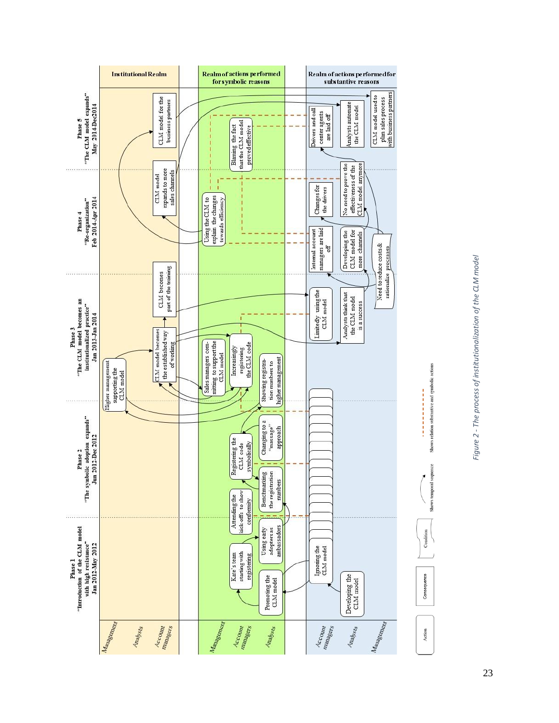



Shows relation substantive and symbolic actions

Shows temporal sequence

23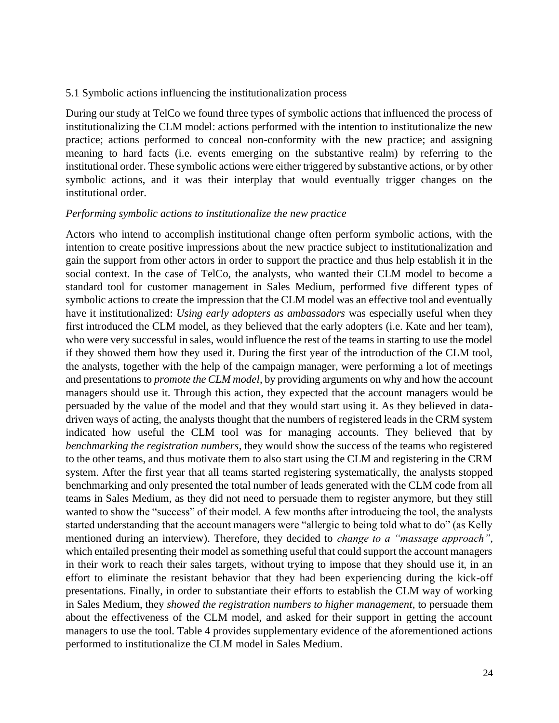#### 5.1 Symbolic actions influencing the institutionalization process

During our study at TelCo we found three types of symbolic actions that influenced the process of institutionalizing the CLM model: actions performed with the intention to institutionalize the new practice; actions performed to conceal non-conformity with the new practice; and assigning meaning to hard facts (i.e. events emerging on the substantive realm) by referring to the institutional order. These symbolic actions were either triggered by substantive actions, or by other symbolic actions, and it was their interplay that would eventually trigger changes on the institutional order.

#### *Performing symbolic actions to institutionalize the new practice*

Actors who intend to accomplish institutional change often perform symbolic actions, with the intention to create positive impressions about the new practice subject to institutionalization and gain the support from other actors in order to support the practice and thus help establish it in the social context. In the case of TelCo, the analysts, who wanted their CLM model to become a standard tool for customer management in Sales Medium, performed five different types of symbolic actions to create the impression that the CLM model was an effective tool and eventually have it institutionalized: *Using early adopters as ambassadors* was especially useful when they first introduced the CLM model, as they believed that the early adopters (i.e. Kate and her team), who were very successful in sales, would influence the rest of the teams in starting to use the model if they showed them how they used it. During the first year of the introduction of the CLM tool, the analysts, together with the help of the campaign manager, were performing a lot of meetings and presentations to *promote the CLM model*, by providing arguments on why and how the account managers should use it. Through this action, they expected that the account managers would be persuaded by the value of the model and that they would start using it. As they believed in datadriven ways of acting, the analysts thought that the numbers of registered leads in the CRM system indicated how useful the CLM tool was for managing accounts. They believed that by *benchmarking the registration numbers*, they would show the success of the teams who registered to the other teams, and thus motivate them to also start using the CLM and registering in the CRM system. After the first year that all teams started registering systematically, the analysts stopped benchmarking and only presented the total number of leads generated with the CLM code from all teams in Sales Medium, as they did not need to persuade them to register anymore, but they still wanted to show the "success" of their model. A few months after introducing the tool, the analysts started understanding that the account managers were "allergic to being told what to do" (as Kelly mentioned during an interview). Therefore, they decided to *change to a "massage approach"*, which entailed presenting their model as something useful that could support the account managers in their work to reach their sales targets, without trying to impose that they should use it, in an effort to eliminate the resistant behavior that they had been experiencing during the kick-off presentations. Finally, in order to substantiate their efforts to establish the CLM way of working in Sales Medium, they *showed the registration numbers to higher management*, to persuade them about the effectiveness of the CLM model, and asked for their support in getting the account managers to use the tool. Table 4 provides supplementary evidence of the aforementioned actions performed to institutionalize the CLM model in Sales Medium.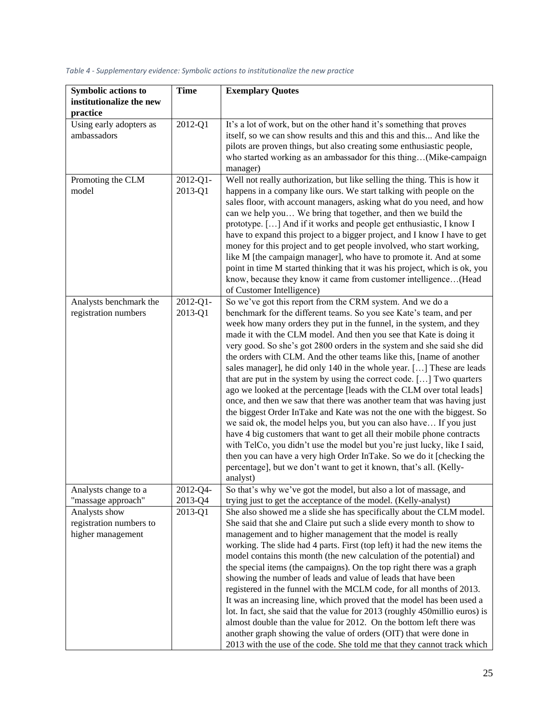|                                                | <b>Time</b>              | <b>Exemplary Quotes</b>                                                                                                                                                                                                                                                                                                                                                                                                             |
|------------------------------------------------|--------------------------|-------------------------------------------------------------------------------------------------------------------------------------------------------------------------------------------------------------------------------------------------------------------------------------------------------------------------------------------------------------------------------------------------------------------------------------|
| institutionalize the new                       |                          |                                                                                                                                                                                                                                                                                                                                                                                                                                     |
| practice                                       |                          |                                                                                                                                                                                                                                                                                                                                                                                                                                     |
| Using early adopters as                        | 2012-Q1                  | It's a lot of work, but on the other hand it's something that proves                                                                                                                                                                                                                                                                                                                                                                |
| ambassadors                                    |                          | itself, so we can show results and this and this and this And like the<br>pilots are proven things, but also creating some enthusiastic people,                                                                                                                                                                                                                                                                                     |
|                                                |                          | who started working as an ambassador for this thing(Mike-campaign                                                                                                                                                                                                                                                                                                                                                                   |
|                                                |                          | manager)                                                                                                                                                                                                                                                                                                                                                                                                                            |
| Promoting the CLM                              | 2012-Q1-                 | Well not really authorization, but like selling the thing. This is how it                                                                                                                                                                                                                                                                                                                                                           |
| model                                          | 2013-Q1                  | happens in a company like ours. We start talking with people on the                                                                                                                                                                                                                                                                                                                                                                 |
|                                                |                          | sales floor, with account managers, asking what do you need, and how                                                                                                                                                                                                                                                                                                                                                                |
|                                                |                          | can we help you We bring that together, and then we build the<br>prototype. [] And if it works and people get enthusiastic, I know I                                                                                                                                                                                                                                                                                                |
|                                                |                          | have to expand this project to a bigger project, and I know I have to get                                                                                                                                                                                                                                                                                                                                                           |
|                                                |                          | money for this project and to get people involved, who start working,                                                                                                                                                                                                                                                                                                                                                               |
|                                                |                          | like M [the campaign manager], who have to promote it. And at some                                                                                                                                                                                                                                                                                                                                                                  |
|                                                |                          | point in time M started thinking that it was his project, which is ok, you                                                                                                                                                                                                                                                                                                                                                          |
|                                                |                          | know, because they know it came from customer intelligence(Head                                                                                                                                                                                                                                                                                                                                                                     |
|                                                |                          | of Customer Intelligence)                                                                                                                                                                                                                                                                                                                                                                                                           |
| Analysts benchmark the<br>registration numbers | $2012 - Q1 -$<br>2013-Q1 | So we've got this report from the CRM system. And we do a<br>benchmark for the different teams. So you see Kate's team, and per                                                                                                                                                                                                                                                                                                     |
|                                                |                          | week how many orders they put in the funnel, in the system, and they                                                                                                                                                                                                                                                                                                                                                                |
|                                                |                          | made it with the CLM model. And then you see that Kate is doing it                                                                                                                                                                                                                                                                                                                                                                  |
|                                                |                          | very good. So she's got 2800 orders in the system and she said she did                                                                                                                                                                                                                                                                                                                                                              |
|                                                |                          | the orders with CLM. And the other teams like this, [name of another                                                                                                                                                                                                                                                                                                                                                                |
|                                                |                          | sales manager], he did only 140 in the whole year. [] These are leads                                                                                                                                                                                                                                                                                                                                                               |
|                                                |                          | that are put in the system by using the correct code. [] Two quarters                                                                                                                                                                                                                                                                                                                                                               |
|                                                |                          | ago we looked at the percentage [leads with the CLM over total leads]                                                                                                                                                                                                                                                                                                                                                               |
|                                                |                          | once, and then we saw that there was another team that was having just<br>the biggest Order InTake and Kate was not the one with the biggest. So                                                                                                                                                                                                                                                                                    |
|                                                |                          | we said ok, the model helps you, but you can also have If you just                                                                                                                                                                                                                                                                                                                                                                  |
|                                                |                          | have 4 big customers that want to get all their mobile phone contracts                                                                                                                                                                                                                                                                                                                                                              |
|                                                |                          | with TelCo, you didn't use the model but you're just lucky, like I said,                                                                                                                                                                                                                                                                                                                                                            |
|                                                |                          | then you can have a very high Order InTake. So we do it [checking the                                                                                                                                                                                                                                                                                                                                                               |
|                                                |                          | percentage], but we don't want to get it known, that's all. (Kelly-                                                                                                                                                                                                                                                                                                                                                                 |
| Analysts change to a                           | 2012-Q4                  | analyst)<br>So that's why we've got the model, but also a lot of massage, and                                                                                                                                                                                                                                                                                                                                                       |
| "massage approach"                             | 2013-Q4                  | trying just to get the acceptance of the model. (Kelly-analyst)                                                                                                                                                                                                                                                                                                                                                                     |
| Analysts show                                  | 2013-Q1                  | She also showed me a slide she has specifically about the CLM model.                                                                                                                                                                                                                                                                                                                                                                |
| registration numbers to                        |                          | She said that she and Claire put such a slide every month to show to                                                                                                                                                                                                                                                                                                                                                                |
|                                                |                          |                                                                                                                                                                                                                                                                                                                                                                                                                                     |
|                                                |                          |                                                                                                                                                                                                                                                                                                                                                                                                                                     |
|                                                |                          |                                                                                                                                                                                                                                                                                                                                                                                                                                     |
|                                                |                          |                                                                                                                                                                                                                                                                                                                                                                                                                                     |
|                                                |                          |                                                                                                                                                                                                                                                                                                                                                                                                                                     |
|                                                |                          | It was an increasing line, which proved that the model has been used a                                                                                                                                                                                                                                                                                                                                                              |
|                                                |                          | lot. In fact, she said that the value for 2013 (roughly 450millio euros) is                                                                                                                                                                                                                                                                                                                                                         |
|                                                |                          | almost double than the value for 2012. On the bottom left there was                                                                                                                                                                                                                                                                                                                                                                 |
|                                                |                          | another graph showing the value of orders (OIT) that were done in                                                                                                                                                                                                                                                                                                                                                                   |
| higher management                              |                          | management and to higher management that the model is really<br>working. The slide had 4 parts. First (top left) it had the new items the<br>model contains this month (the new calculation of the potential) and<br>the special items (the campaigns). On the top right there was a graph<br>showing the number of leads and value of leads that have been<br>registered in the funnel with the MCLM code, for all months of 2013. |

#### *Table 4 - Supplementary evidence: Symbolic actions to institutionalize the new practice*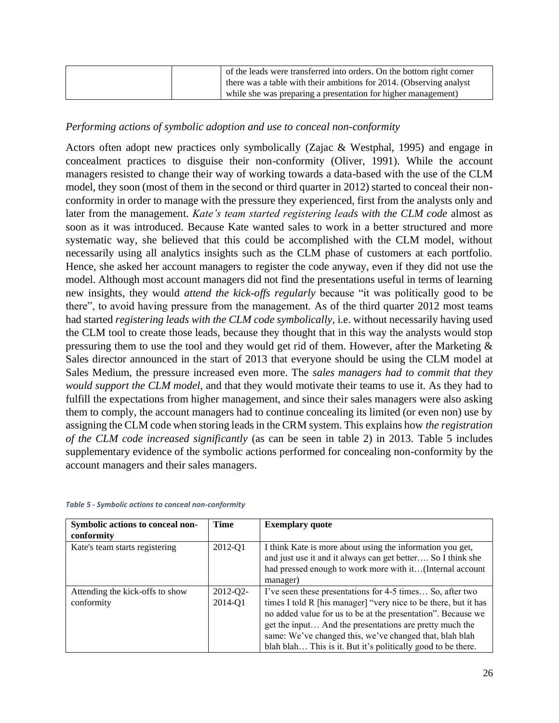| of the leads were transferred into orders. On the bottom right corner<br>there was a table with their ambitions for 2014. (Observing analyst |
|----------------------------------------------------------------------------------------------------------------------------------------------|
| while she was preparing a presentation for higher management)                                                                                |

# *Performing actions of symbolic adoption and use to conceal non-conformity*

Actors often adopt new practices only symbolically (Zajac & Westphal, 1995) and engage in concealment practices to disguise their non-conformity (Oliver, 1991). While the account managers resisted to change their way of working towards a data-based with the use of the CLM model, they soon (most of them in the second or third quarter in 2012) started to conceal their nonconformity in order to manage with the pressure they experienced, first from the analysts only and later from the management. *Kate's team started registering leads with the CLM code* almost as soon as it was introduced. Because Kate wanted sales to work in a better structured and more systematic way, she believed that this could be accomplished with the CLM model, without necessarily using all analytics insights such as the CLM phase of customers at each portfolio. Hence, she asked her account managers to register the code anyway, even if they did not use the model. Although most account managers did not find the presentations useful in terms of learning new insights, they would *attend the kick-offs regularly* because "it was politically good to be there", to avoid having pressure from the management. As of the third quarter 2012 most teams had started *registering leads with the CLM code symbolically*, i.e. without necessarily having used the CLM tool to create those leads, because they thought that in this way the analysts would stop pressuring them to use the tool and they would get rid of them. However, after the Marketing & Sales director announced in the start of 2013 that everyone should be using the CLM model at Sales Medium, the pressure increased even more. The *sales managers had to commit that they would support the CLM model*, and that they would motivate their teams to use it. As they had to fulfill the expectations from higher management, and since their sales managers were also asking them to comply, the account managers had to continue concealing its limited (or even non) use by assigning the CLM code when storing leads in the CRM system. This explains how *the registration of the CLM code increased significantly* (as can be seen in table 2) in 2013. Table 5 includes supplementary evidence of the symbolic actions performed for concealing non-conformity by the account managers and their sales managers.

| Symbolic actions to conceal non-              | Time                     | <b>Exemplary quote</b>                                                                                                                                                                                                                                                                                                                                                             |
|-----------------------------------------------|--------------------------|------------------------------------------------------------------------------------------------------------------------------------------------------------------------------------------------------------------------------------------------------------------------------------------------------------------------------------------------------------------------------------|
| conformity                                    |                          |                                                                                                                                                                                                                                                                                                                                                                                    |
| Kate's team starts registering                | 2012-Q1                  | I think Kate is more about using the information you get,<br>and just use it and it always can get better So I think she<br>had pressed enough to work more with it(Internal account<br>manager)                                                                                                                                                                                   |
| Attending the kick-offs to show<br>conformity | $2012 - Q2 -$<br>2014-Q1 | I've seen these presentations for 4-5 times So, after two<br>times I told R [his manager] "very nice to be there, but it has<br>no added value for us to be at the presentation". Because we<br>get the input And the presentations are pretty much the<br>same: We've changed this, we've changed that, blah blah<br>blah blah This is it. But it's politically good to be there. |

#### *Table 5 - Symbolic actions to conceal non-conformity*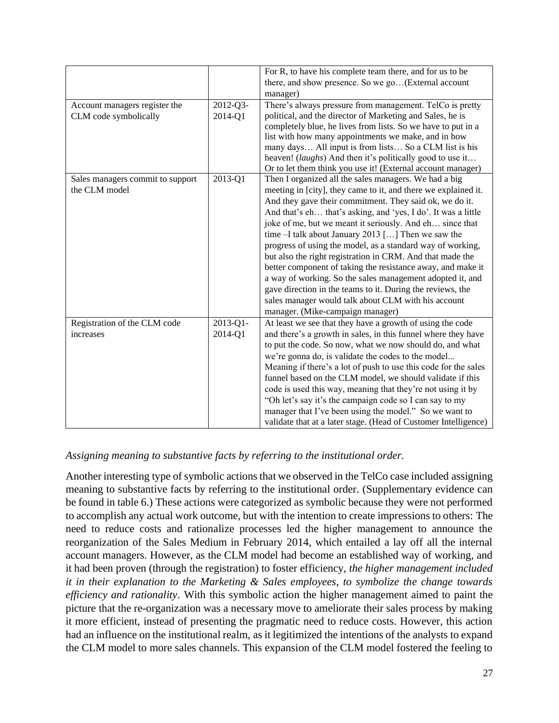|                                  |               | For R, to have his complete team there, and for us to be        |
|----------------------------------|---------------|-----------------------------------------------------------------|
|                                  |               | there, and show presence. So we go(External account             |
|                                  |               |                                                                 |
|                                  |               | manager)                                                        |
| Account managers register the    | 2012-Q3-      | There's always pressure from management. TelCo is pretty        |
| CLM code symbolically            | 2014-Q1       | political, and the director of Marketing and Sales, he is       |
|                                  |               | completely blue, he lives from lists. So we have to put in a    |
|                                  |               | list with how many appointments we make, and in how             |
|                                  |               | many days All input is from lists So a CLM list is his          |
|                                  |               | heaven! (laughs) And then it's politically good to use it       |
|                                  |               | Or to let them think you use it! (External account manager)     |
| Sales managers commit to support | 2013-Q1       | Then I organized all the sales managers. We had a big           |
| the CLM model                    |               | meeting in [city], they came to it, and there we explained it.  |
|                                  |               | And they gave their commitment. They said ok, we do it.         |
|                                  |               | And that's eh that's asking, and 'yes, I do'. It was a little   |
|                                  |               | joke of me, but we meant it seriously. And eh since that        |
|                                  |               | time $-I$ talk about January 2013 [] Then we saw the            |
|                                  |               | progress of using the model, as a standard way of working,      |
|                                  |               | but also the right registration in CRM. And that made the       |
|                                  |               | better component of taking the resistance away, and make it     |
|                                  |               | a way of working. So the sales management adopted it, and       |
|                                  |               | gave direction in the teams to it. During the reviews, the      |
|                                  |               | sales manager would talk about CLM with his account             |
|                                  |               | manager. (Mike-campaign manager)                                |
| Registration of the CLM code     | $2013 - Q1 -$ | At least we see that they have a growth of using the code       |
| increases                        | 2014-Q1       | and there's a growth in sales, in this funnel where they have   |
|                                  |               | to put the code. So now, what we now should do, and what        |
|                                  |               | we're gonna do, is validate the codes to the model              |
|                                  |               | Meaning if there's a lot of push to use this code for the sales |
|                                  |               | funnel based on the CLM model, we should validate if this       |
|                                  |               | code is used this way, meaning that they're not using it by     |
|                                  |               | "Oh let's say it's the campaign code so I can say to my         |
|                                  |               | manager that I've been using the model." So we want to          |
|                                  |               | validate that at a later stage. (Head of Customer Intelligence) |

# *Assigning meaning to substantive facts by referring to the institutional order.*

Another interesting type of symbolic actions that we observed in the TelCo case included assigning meaning to substantive facts by referring to the institutional order. (Supplementary evidence can be found in table 6.) These actions were categorized as symbolic because they were not performed to accomplish any actual work outcome, but with the intention to create impressions to others: The need to reduce costs and rationalize processes led the higher management to announce the reorganization of the Sales Medium in February 2014, which entailed a lay off all the internal account managers. However, as the CLM model had become an established way of working, and it had been proven (through the registration) to foster efficiency, *the higher management included it in their explanation to the Marketing & Sales employees, to symbolize the change towards efficiency and rationality*. With this symbolic action the higher management aimed to paint the picture that the re-organization was a necessary move to ameliorate their sales process by making it more efficient, instead of presenting the pragmatic need to reduce costs. However, this action had an influence on the institutional realm, as it legitimized the intentions of the analysts to expand the CLM model to more sales channels. This expansion of the CLM model fostered the feeling to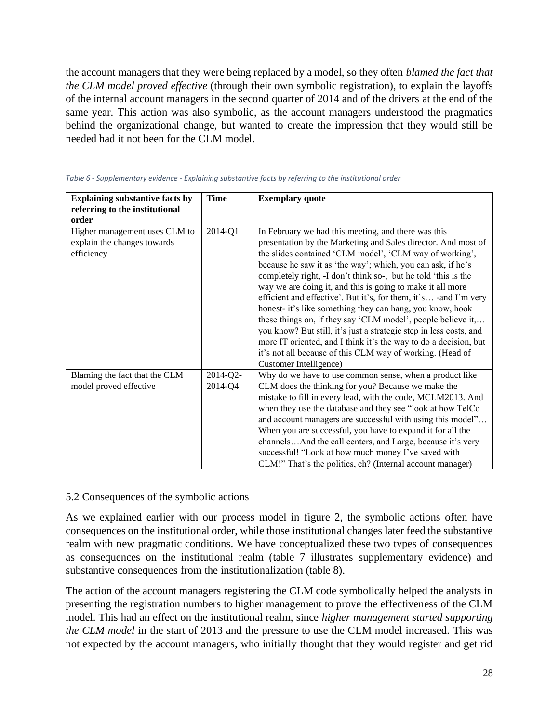the account managers that they were being replaced by a model, so they often *blamed the fact that the CLM model proved effective* (through their own symbolic registration), to explain the layoffs of the internal account managers in the second quarter of 2014 and of the drivers at the end of the same year. This action was also symbolic, as the account managers understood the pragmatics behind the organizational change, but wanted to create the impression that they would still be needed had it not been for the CLM model.

| <b>Explaining substantive facts by</b> | <b>Time</b> | <b>Exemplary quote</b>                                                                                                             |
|----------------------------------------|-------------|------------------------------------------------------------------------------------------------------------------------------------|
| referring to the institutional         |             |                                                                                                                                    |
| order                                  |             |                                                                                                                                    |
| Higher management uses CLM to          | 2014-Q1     | In February we had this meeting, and there was this                                                                                |
| explain the changes towards            |             | presentation by the Marketing and Sales director. And most of                                                                      |
| efficiency                             |             | the slides contained 'CLM model', 'CLM way of working',                                                                            |
|                                        |             | because he saw it as 'the way'; which, you can ask, if he's                                                                        |
|                                        |             | completely right, -I don't think so-, but he told 'this is the                                                                     |
|                                        |             | way we are doing it, and this is going to make it all more                                                                         |
|                                        |             | efficient and effective'. But it's, for them, it's -and I'm very                                                                   |
|                                        |             | honest- it's like something they can hang, you know, hook                                                                          |
|                                        |             | these things on, if they say 'CLM model', people believe it,<br>you know? But still, it's just a strategic step in less costs, and |
|                                        |             | more IT oriented, and I think it's the way to do a decision, but                                                                   |
|                                        |             | it's not all because of this CLM way of working. (Head of                                                                          |
|                                        |             | Customer Intelligence)                                                                                                             |
| Blaming the fact that the CLM          | 2014-Q2-    | Why do we have to use common sense, when a product like                                                                            |
| model proved effective                 | 2014-Q4     | CLM does the thinking for you? Because we make the                                                                                 |
|                                        |             | mistake to fill in every lead, with the code, MCLM2013. And                                                                        |
|                                        |             | when they use the database and they see "look at how TelCo                                                                         |
|                                        |             | and account managers are successful with using this model"                                                                         |
|                                        |             | When you are successful, you have to expand it for all the                                                                         |
|                                        |             | channelsAnd the call centers, and Large, because it's very                                                                         |
|                                        |             | successful! "Look at how much money I've saved with                                                                                |
|                                        |             | CLM!" That's the politics, eh? (Internal account manager)                                                                          |

#### *Table 6 - Supplementary evidence - Explaining substantive facts by referring to the institutional order*

#### 5.2 Consequences of the symbolic actions

As we explained earlier with our process model in figure 2, the symbolic actions often have consequences on the institutional order, while those institutional changes later feed the substantive realm with new pragmatic conditions. We have conceptualized these two types of consequences as consequences on the institutional realm (table 7 illustrates supplementary evidence) and substantive consequences from the institutionalization (table 8).

The action of the account managers registering the CLM code symbolically helped the analysts in presenting the registration numbers to higher management to prove the effectiveness of the CLM model. This had an effect on the institutional realm, since *higher management started supporting the CLM model* in the start of 2013 and the pressure to use the CLM model increased. This was not expected by the account managers, who initially thought that they would register and get rid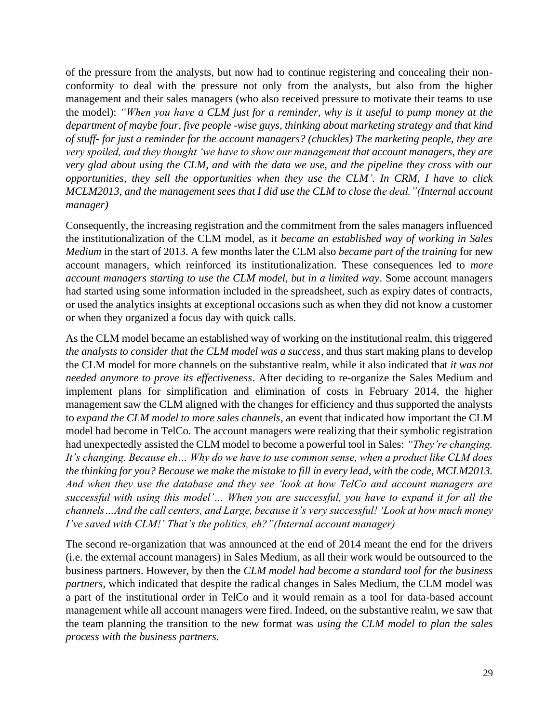of the pressure from the analysts, but now had to continue registering and concealing their nonconformity to deal with the pressure not only from the analysts, but also from the higher management and their sales managers (who also received pressure to motivate their teams to use the model): *"When you have a CLM just for a reminder, why is it useful to pump money at the department of maybe four, five people -wise guys, thinking about marketing strategy and that kind of stuff- for just a reminder for the account managers? (chuckles) The marketing people, they are very spoiled, and they thought 'we have to show our management that account managers, they are very glad about using the CLM, and with the data we use, and the pipeline they cross with our opportunities, they sell the opportunities when they use the CLM'. In CRM, I have to click MCLM2013, and the management sees that I did use the CLM to close the deal."(Internal account manager)*

Consequently, the increasing registration and the commitment from the sales managers influenced the institutionalization of the CLM model, as it *became an established way of working in Sales Medium* in the start of 2013. A few months later the CLM also *became part of the training* for new account managers, which reinforced its institutionalization. These consequences led to *more account managers starting to use the CLM model, but in a limited way*. Some account managers had started using some information included in the spreadsheet, such as expiry dates of contracts, or used the analytics insights at exceptional occasions such as when they did not know a customer or when they organized a focus day with quick calls.

As the CLM model became an established way of working on the institutional realm, this triggered *the analysts to consider that the CLM model was a success*, and thus start making plans to develop the CLM model for more channels on the substantive realm, while it also indicated that *it was not needed anymore to prove its effectiveness*. After deciding to re-organize the Sales Medium and implement plans for simplification and elimination of costs in February 2014, the higher management saw the CLM aligned with the changes for efficiency and thus supported the analysts to *expand the CLM model to more sales channels*, an event that indicated how important the CLM model had become in TelCo. The account managers were realizing that their symbolic registration had unexpectedly assisted the CLM model to become a powerful tool in Sales: *"They're changing. It's changing. Because eh… Why do we have to use common sense, when a product like CLM does the thinking for you? Because we make the mistake to fill in every lead, with the code, MCLM2013. And when they use the database and they see 'look at how TelCo and account managers are successful with using this model'… When you are successful, you have to expand it for all the channels…And the call centers, and Large, because it's very successful! 'Look at how much money I've saved with CLM!' That's the politics, eh?"(Internal account manager)*

The second re-organization that was announced at the end of 2014 meant the end for the drivers (i.e. the external account managers) in Sales Medium, as all their work would be outsourced to the business partners. However, by then the *CLM model had become a standard tool for the business partners*, which indicated that despite the radical changes in Sales Medium, the CLM model was a part of the institutional order in TelCo and it would remain as a tool for data-based account management while all account managers were fired. Indeed, on the substantive realm, we saw that the team planning the transition to the new format was *using the CLM model to plan the sales process with the business partners.*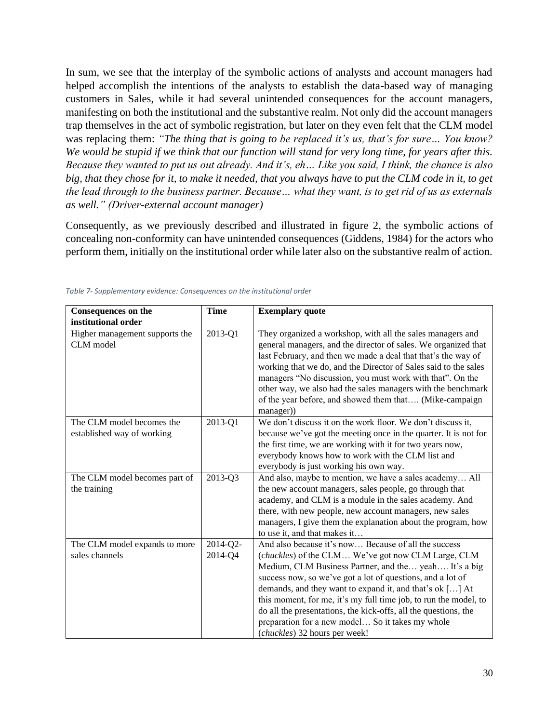In sum, we see that the interplay of the symbolic actions of analysts and account managers had helped accomplish the intentions of the analysts to establish the data-based way of managing customers in Sales, while it had several unintended consequences for the account managers, manifesting on both the institutional and the substantive realm. Not only did the account managers trap themselves in the act of symbolic registration, but later on they even felt that the CLM model was replacing them: *"The thing that is going to be replaced it's us, that's for sure… You know? We would be stupid if we think that our function will stand for very long time, for years after this. Because they wanted to put us out already. And it's, eh… Like you said, I think, the chance is also big, that they chose for it, to make it needed, that you always have to put the CLM code in it, to get the lead through to the business partner. Because… what they want, is to get rid of us as externals as well." (Driver-external account manager)* 

Consequently, as we previously described and illustrated in figure 2, the symbolic actions of concealing non-conformity can have unintended consequences (Giddens, 1984) for the actors who perform them, initially on the institutional order while later also on the substantive realm of action.

| <b>Consequences on the</b>                              | <b>Time</b>         | <b>Exemplary quote</b>                                                                                                                                                                                                                                                                                                                                                                                                                                                                                                    |
|---------------------------------------------------------|---------------------|---------------------------------------------------------------------------------------------------------------------------------------------------------------------------------------------------------------------------------------------------------------------------------------------------------------------------------------------------------------------------------------------------------------------------------------------------------------------------------------------------------------------------|
| institutional order                                     |                     |                                                                                                                                                                                                                                                                                                                                                                                                                                                                                                                           |
| Higher management supports the<br>CLM model             | 2013-Q1             | They organized a workshop, with all the sales managers and<br>general managers, and the director of sales. We organized that<br>last February, and then we made a deal that that's the way of<br>working that we do, and the Director of Sales said to the sales<br>managers "No discussion, you must work with that". On the<br>other way, we also had the sales managers with the benchmark<br>of the year before, and showed them that (Mike-campaign<br>manager))                                                     |
| The CLM model becomes the<br>established way of working | 2013-Q1             | We don't discuss it on the work floor. We don't discuss it,<br>because we've got the meeting once in the quarter. It is not for<br>the first time, we are working with it for two years now,<br>everybody knows how to work with the CLM list and<br>everybody is just working his own way.                                                                                                                                                                                                                               |
| The CLM model becomes part of<br>the training           | 2013-Q3             | And also, maybe to mention, we have a sales academy All<br>the new account managers, sales people, go through that<br>academy, and CLM is a module in the sales academy. And<br>there, with new people, new account managers, new sales<br>managers, I give them the explanation about the program, how<br>to use it, and that makes it                                                                                                                                                                                   |
| The CLM model expands to more<br>sales channels         | 2014-Q2-<br>2014-Q4 | And also because it's now Because of all the success<br>(chuckles) of the CLM We've got now CLM Large, CLM<br>Medium, CLM Business Partner, and the yeah It's a big<br>success now, so we've got a lot of questions, and a lot of<br>demands, and they want to expand it, and that's ok [] At<br>this moment, for me, it's my full time job, to run the model, to<br>do all the presentations, the kick-offs, all the questions, the<br>preparation for a new model So it takes my whole<br>(chuckles) 32 hours per week! |

#### *Table 7- Supplementary evidence: Consequences on the institutional order*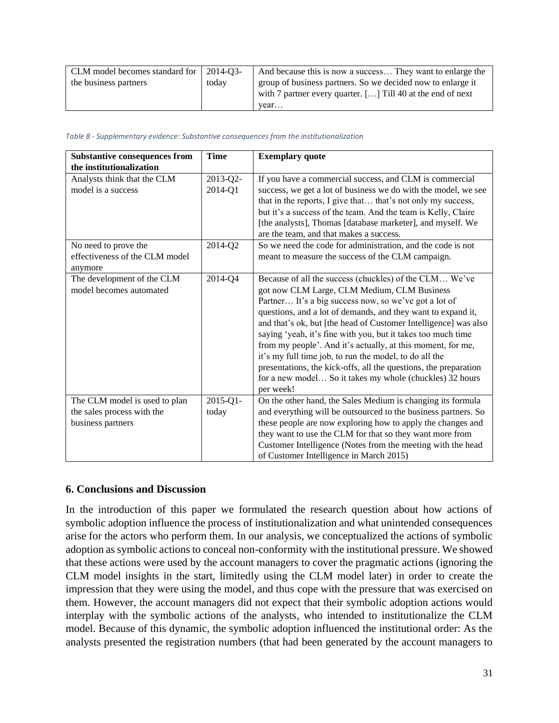| CLM model becomes standard for 2014-Q3- |       | And because this is now a success They want to enlarge the         |
|-----------------------------------------|-------|--------------------------------------------------------------------|
| the business partners                   | today | group of business partners. So we decided now to enlarge it        |
|                                         |       | with 7 partner every quarter. $[\dots]$ Till 40 at the end of next |
|                                         |       | vear                                                               |

#### *Table 8 - Supplementary evidence: Substantive consequences from the institutionalization*

| <b>Substantive consequences from</b> | <b>Time</b>   | <b>Exemplary quote</b>                                           |
|--------------------------------------|---------------|------------------------------------------------------------------|
| the institutionalization             |               |                                                                  |
| Analysts think that the CLM          | 2013-Q2-      | If you have a commercial success, and CLM is commercial          |
| model is a success                   | 2014-Q1       | success, we get a lot of business we do with the model, we see   |
|                                      |               | that in the reports, I give that that's not only my success,     |
|                                      |               | but it's a success of the team. And the team is Kelly, Claire    |
|                                      |               | [the analysts], Thomas [database marketer], and myself. We       |
|                                      |               | are the team, and that makes a success.                          |
| No need to prove the                 | 2014-Q2       | So we need the code for administration, and the code is not      |
| effectiveness of the CLM model       |               | meant to measure the success of the CLM campaign.                |
| anymore                              |               |                                                                  |
| The development of the CLM           | 2014-Q4       | Because of all the success (chuckles) of the CLM We've           |
| model becomes automated              |               | got now CLM Large, CLM Medium, CLM Business                      |
|                                      |               | Partner It's a big success now, so we've got a lot of            |
|                                      |               | questions, and a lot of demands, and they want to expand it,     |
|                                      |               | and that's ok, but [the head of Customer Intelligence] was also  |
|                                      |               | saying 'yeah, it's fine with you, but it takes too much time     |
|                                      |               | from my people'. And it's actually, at this moment, for me,      |
|                                      |               | it's my full time job, to run the model, to do all the           |
|                                      |               | presentations, the kick-offs, all the questions, the preparation |
|                                      |               | for a new model So it takes my whole (chuckles) 32 hours         |
|                                      |               | per week!                                                        |
| The CLM model is used to plan        | $2015 - Q1 -$ | On the other hand, the Sales Medium is changing its formula      |
| the sales process with the           | today         | and everything will be outsourced to the business partners. So   |
| business partners                    |               | these people are now exploring how to apply the changes and      |
|                                      |               | they want to use the CLM for that so they want more from         |
|                                      |               | Customer Intelligence (Notes from the meeting with the head      |
|                                      |               | of Customer Intelligence in March 2015)                          |

#### **6. Conclusions and Discussion**

In the introduction of this paper we formulated the research question about how actions of symbolic adoption influence the process of institutionalization and what unintended consequences arise for the actors who perform them. In our analysis, we conceptualized the actions of symbolic adoption as symbolic actions to conceal non-conformity with the institutional pressure. We showed that these actions were used by the account managers to cover the pragmatic actions (ignoring the CLM model insights in the start, limitedly using the CLM model later) in order to create the impression that they were using the model, and thus cope with the pressure that was exercised on them. However, the account managers did not expect that their symbolic adoption actions would interplay with the symbolic actions of the analysts, who intended to institutionalize the CLM model. Because of this dynamic, the symbolic adoption influenced the institutional order: As the analysts presented the registration numbers (that had been generated by the account managers to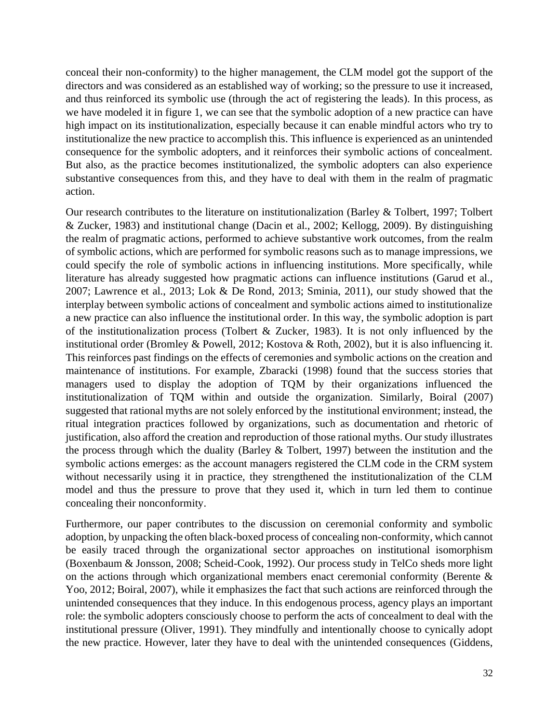conceal their non-conformity) to the higher management, the CLM model got the support of the directors and was considered as an established way of working; so the pressure to use it increased, and thus reinforced its symbolic use (through the act of registering the leads). In this process, as we have modeled it in figure 1, we can see that the symbolic adoption of a new practice can have high impact on its institutionalization, especially because it can enable mindful actors who try to institutionalize the new practice to accomplish this. This influence is experienced as an unintended consequence for the symbolic adopters, and it reinforces their symbolic actions of concealment. But also, as the practice becomes institutionalized, the symbolic adopters can also experience substantive consequences from this, and they have to deal with them in the realm of pragmatic action.

Our research contributes to the literature on institutionalization (Barley & Tolbert, 1997; Tolbert & Zucker, 1983) and institutional change (Dacin et al., 2002; Kellogg, 2009). By distinguishing the realm of pragmatic actions, performed to achieve substantive work outcomes, from the realm of symbolic actions, which are performed for symbolic reasons such as to manage impressions, we could specify the role of symbolic actions in influencing institutions. More specifically, while literature has already suggested how pragmatic actions can influence institutions (Garud et al., 2007; Lawrence et al., 2013; Lok & De Rond, 2013; Sminia, 2011), our study showed that the interplay between symbolic actions of concealment and symbolic actions aimed to institutionalize a new practice can also influence the institutional order. In this way, the symbolic adoption is part of the institutionalization process (Tolbert & Zucker, 1983). It is not only influenced by the institutional order (Bromley & Powell, 2012; Kostova & Roth, 2002), but it is also influencing it. This reinforces past findings on the effects of ceremonies and symbolic actions on the creation and maintenance of institutions. For example, Zbaracki (1998) found that the success stories that managers used to display the adoption of TQM by their organizations influenced the institutionalization of TQM within and outside the organization. Similarly, Boiral (2007) suggested that rational myths are not solely enforced by the institutional environment; instead, the ritual integration practices followed by organizations, such as documentation and rhetoric of justification, also afford the creation and reproduction of those rational myths. Our study illustrates the process through which the duality (Barley & Tolbert, 1997) between the institution and the symbolic actions emerges: as the account managers registered the CLM code in the CRM system without necessarily using it in practice, they strengthened the institutionalization of the CLM model and thus the pressure to prove that they used it, which in turn led them to continue concealing their nonconformity.

Furthermore, our paper contributes to the discussion on ceremonial conformity and symbolic adoption, by unpacking the often black-boxed process of concealing non-conformity, which cannot be easily traced through the organizational sector approaches on institutional isomorphism (Boxenbaum & Jonsson, 2008; Scheid-Cook, 1992). Our process study in TelCo sheds more light on the actions through which organizational members enact ceremonial conformity (Berente & Yoo, 2012; Boiral, 2007), while it emphasizes the fact that such actions are reinforced through the unintended consequences that they induce. In this endogenous process, agency plays an important role: the symbolic adopters consciously choose to perform the acts of concealment to deal with the institutional pressure (Oliver, 1991). They mindfully and intentionally choose to cynically adopt the new practice. However, later they have to deal with the unintended consequences (Giddens,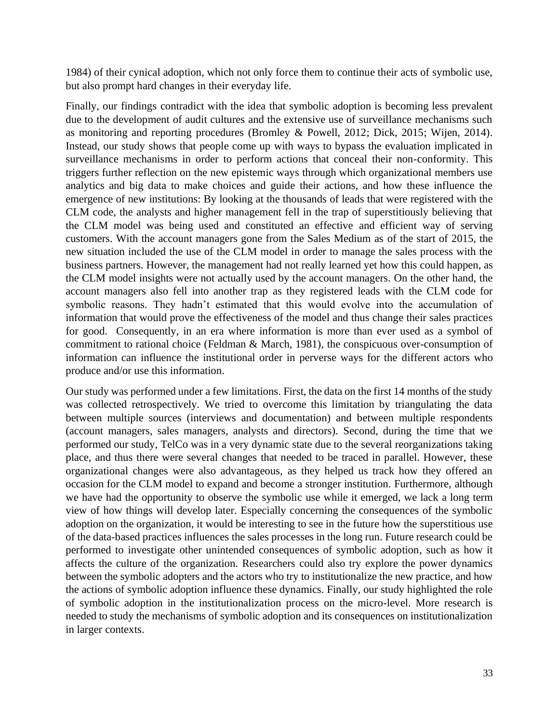1984) of their cynical adoption, which not only force them to continue their acts of symbolic use, but also prompt hard changes in their everyday life.

Finally, our findings contradict with the idea that symbolic adoption is becoming less prevalent due to the development of audit cultures and the extensive use of surveillance mechanisms such as monitoring and reporting procedures (Bromley & Powell, 2012; Dick, 2015; Wijen, 2014). Instead, our study shows that people come up with ways to bypass the evaluation implicated in surveillance mechanisms in order to perform actions that conceal their non-conformity. This triggers further reflection on the new epistemic ways through which organizational members use analytics and big data to make choices and guide their actions, and how these influence the emergence of new institutions: By looking at the thousands of leads that were registered with the CLM code, the analysts and higher management fell in the trap of superstitiously believing that the CLM model was being used and constituted an effective and efficient way of serving customers. With the account managers gone from the Sales Medium as of the start of 2015, the new situation included the use of the CLM model in order to manage the sales process with the business partners. However, the management had not really learned yet how this could happen, as the CLM model insights were not actually used by the account managers. On the other hand, the account managers also fell into another trap as they registered leads with the CLM code for symbolic reasons. They hadn't estimated that this would evolve into the accumulation of information that would prove the effectiveness of the model and thus change their sales practices for good. Consequently, in an era where information is more than ever used as a symbol of commitment to rational choice (Feldman & March, 1981), the conspicuous over-consumption of information can influence the institutional order in perverse ways for the different actors who produce and/or use this information.

Our study was performed under a few limitations. First, the data on the first 14 months of the study was collected retrospectively. We tried to overcome this limitation by triangulating the data between multiple sources (interviews and documentation) and between multiple respondents (account managers, sales managers, analysts and directors). Second, during the time that we performed our study, TelCo was in a very dynamic state due to the several reorganizations taking place, and thus there were several changes that needed to be traced in parallel. However, these organizational changes were also advantageous, as they helped us track how they offered an occasion for the CLM model to expand and become a stronger institution. Furthermore, although we have had the opportunity to observe the symbolic use while it emerged, we lack a long term view of how things will develop later. Especially concerning the consequences of the symbolic adoption on the organization, it would be interesting to see in the future how the superstitious use of the data-based practices influences the sales processes in the long run. Future research could be performed to investigate other unintended consequences of symbolic adoption, such as how it affects the culture of the organization. Researchers could also try explore the power dynamics between the symbolic adopters and the actors who try to institutionalize the new practice, and how the actions of symbolic adoption influence these dynamics. Finally, our study highlighted the role of symbolic adoption in the institutionalization process on the micro-level. More research is needed to study the mechanisms of symbolic adoption and its consequences on institutionalization in larger contexts.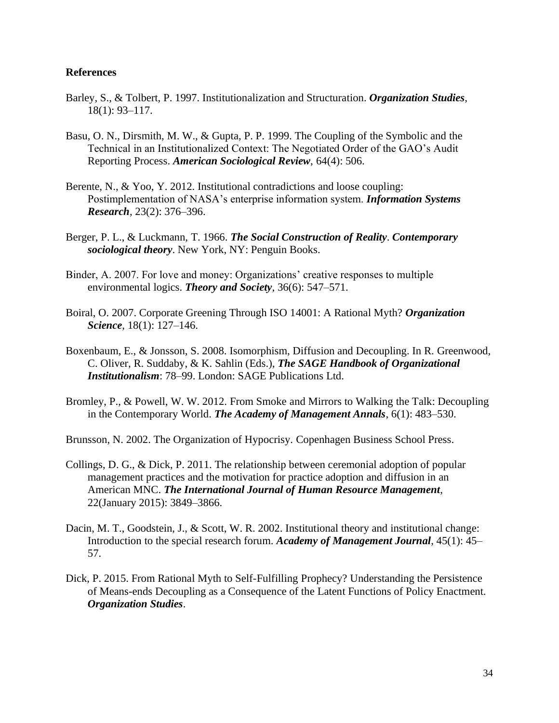### **References**

- Barley, S., & Tolbert, P. 1997. Institutionalization and Structuration. *Organization Studies*, 18(1): 93–117.
- Basu, O. N., Dirsmith, M. W., & Gupta, P. P. 1999. The Coupling of the Symbolic and the Technical in an Institutionalized Context: The Negotiated Order of the GAO's Audit Reporting Process. *American Sociological Review*, 64(4): 506.
- Berente, N., & Yoo, Y. 2012. Institutional contradictions and loose coupling: Postimplementation of NASA's enterprise information system. *Information Systems Research*, 23(2): 376–396.
- Berger, P. L., & Luckmann, T. 1966. *The Social Construction of Reality*. *Contemporary sociological theory*. New York, NY: Penguin Books.
- Binder, A. 2007. For love and money: Organizations' creative responses to multiple environmental logics. *Theory and Society*, 36(6): 547–571.
- Boiral, O. 2007. Corporate Greening Through ISO 14001: A Rational Myth? *Organization Science*, 18(1): 127–146.
- Boxenbaum, E., & Jonsson, S. 2008. Isomorphism, Diffusion and Decoupling. In R. Greenwood, C. Oliver, R. Suddaby, & K. Sahlin (Eds.), *The SAGE Handbook of Organizational Institutionalism*: 78–99. London: SAGE Publications Ltd.
- Bromley, P., & Powell, W. W. 2012. From Smoke and Mirrors to Walking the Talk: Decoupling in the Contemporary World. *The Academy of Management Annals*, 6(1): 483–530.

Brunsson, N. 2002. The Organization of Hypocrisy. Copenhagen Business School Press.

- Collings, D. G., & Dick, P. 2011. The relationship between ceremonial adoption of popular management practices and the motivation for practice adoption and diffusion in an American MNC. *The International Journal of Human Resource Management*, 22(January 2015): 3849–3866.
- Dacin, M. T., Goodstein, J., & Scott, W. R. 2002. Institutional theory and institutional change: Introduction to the special research forum. *Academy of Management Journal*, 45(1): 45– 57.
- Dick, P. 2015. From Rational Myth to Self-Fulfilling Prophecy? Understanding the Persistence of Means-ends Decoupling as a Consequence of the Latent Functions of Policy Enactment. *Organization Studies*.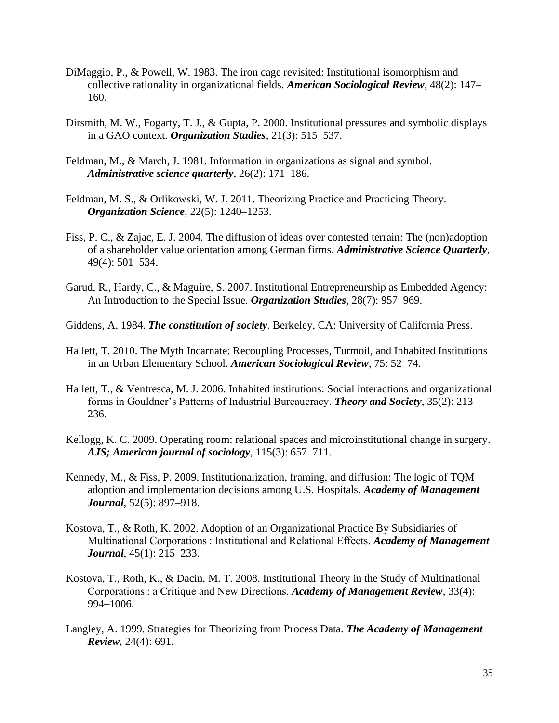- DiMaggio, P., & Powell, W. 1983. The iron cage revisited: Institutional isomorphism and collective rationality in organizational fields. *American Sociological Review*, 48(2): 147– 160.
- Dirsmith, M. W., Fogarty, T. J., & Gupta, P. 2000. Institutional pressures and symbolic displays in a GAO context. *Organization Studies*, 21(3): 515–537.
- Feldman, M., & March, J. 1981. Information in organizations as signal and symbol. *Administrative science quarterly*, 26(2): 171–186.
- Feldman, M. S., & Orlikowski, W. J. 2011. Theorizing Practice and Practicing Theory. *Organization Science*, 22(5): 1240–1253.
- Fiss, P. C., & Zajac, E. J. 2004. The diffusion of ideas over contested terrain: The (non)adoption of a shareholder value orientation among German firms. *Administrative Science Quarterly*, 49(4): 501–534.
- Garud, R., Hardy, C., & Maguire, S. 2007. Institutional Entrepreneurship as Embedded Agency: An Introduction to the Special Issue. *Organization Studies*, 28(7): 957–969.
- Giddens, A. 1984. *The constitution of society*. Berkeley, CA: University of California Press.
- Hallett, T. 2010. The Myth Incarnate: Recoupling Processes, Turmoil, and Inhabited Institutions in an Urban Elementary School. *American Sociological Review*, 75: 52–74.
- Hallett, T., & Ventresca, M. J. 2006. Inhabited institutions: Social interactions and organizational forms in Gouldner's Patterns of Industrial Bureaucracy. *Theory and Society*, 35(2): 213– 236.
- Kellogg, K. C. 2009. Operating room: relational spaces and microinstitutional change in surgery. *AJS; American journal of sociology*, 115(3): 657–711.
- Kennedy, M., & Fiss, P. 2009. Institutionalization, framing, and diffusion: The logic of TQM adoption and implementation decisions among U.S. Hospitals. *Academy of Management Journal*, 52(5): 897–918.
- Kostova, T., & Roth, K. 2002. Adoption of an Organizational Practice By Subsidiaries of Multinational Corporations : Institutional and Relational Effects. *Academy of Management Journal*, 45(1): 215–233.
- Kostova, T., Roth, K., & Dacin, M. T. 2008. Institutional Theory in the Study of Multinational Corporations : a Critique and New Directions. *Academy of Management Review*, 33(4): 994–1006.
- Langley, A. 1999. Strategies for Theorizing from Process Data. *The Academy of Management Review*, 24(4): 691.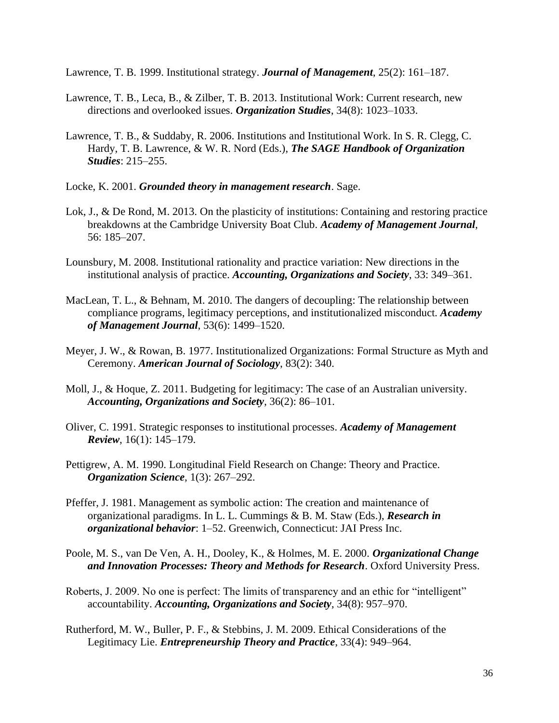Lawrence, T. B. 1999. Institutional strategy. *Journal of Management*, 25(2): 161–187.

- Lawrence, T. B., Leca, B., & Zilber, T. B. 2013. Institutional Work: Current research, new directions and overlooked issues. *Organization Studies*, 34(8): 1023–1033.
- Lawrence, T. B., & Suddaby, R. 2006. Institutions and Institutional Work. In S. R. Clegg, C. Hardy, T. B. Lawrence, & W. R. Nord (Eds.), *The SAGE Handbook of Organization Studies*: 215–255.
- Locke, K. 2001. *Grounded theory in management research*. Sage.
- Lok, J., & De Rond, M. 2013. On the plasticity of institutions: Containing and restoring practice breakdowns at the Cambridge University Boat Club. *Academy of Management Journal*, 56: 185–207.
- Lounsbury, M. 2008. Institutional rationality and practice variation: New directions in the institutional analysis of practice. *Accounting, Organizations and Society*, 33: 349–361.
- MacLean, T. L., & Behnam, M. 2010. The dangers of decoupling: The relationship between compliance programs, legitimacy perceptions, and institutionalized misconduct. *Academy of Management Journal*, 53(6): 1499–1520.
- Meyer, J. W., & Rowan, B. 1977. Institutionalized Organizations: Formal Structure as Myth and Ceremony. *American Journal of Sociology*, 83(2): 340.
- Moll, J., & Hoque, Z. 2011. Budgeting for legitimacy: The case of an Australian university. *Accounting, Organizations and Society*, 36(2): 86–101.
- Oliver, C. 1991. Strategic responses to institutional processes. *Academy of Management Review*, 16(1): 145–179.
- Pettigrew, A. M. 1990. Longitudinal Field Research on Change: Theory and Practice. *Organization Science*, 1(3): 267–292.
- Pfeffer, J. 1981. Management as symbolic action: The creation and maintenance of organizational paradigms. In L. L. Cummings & B. M. Staw (Eds.), *Research in organizational behavior*: 1–52. Greenwich, Connecticut: JAI Press Inc.
- Poole, M. S., van De Ven, A. H., Dooley, K., & Holmes, M. E. 2000. *Organizational Change and Innovation Processes: Theory and Methods for Research*. Oxford University Press.
- Roberts, J. 2009. No one is perfect: The limits of transparency and an ethic for "intelligent" accountability. *Accounting, Organizations and Society*, 34(8): 957–970.
- Rutherford, M. W., Buller, P. F., & Stebbins, J. M. 2009. Ethical Considerations of the Legitimacy Lie. *Entrepreneurship Theory and Practice*, 33(4): 949–964.